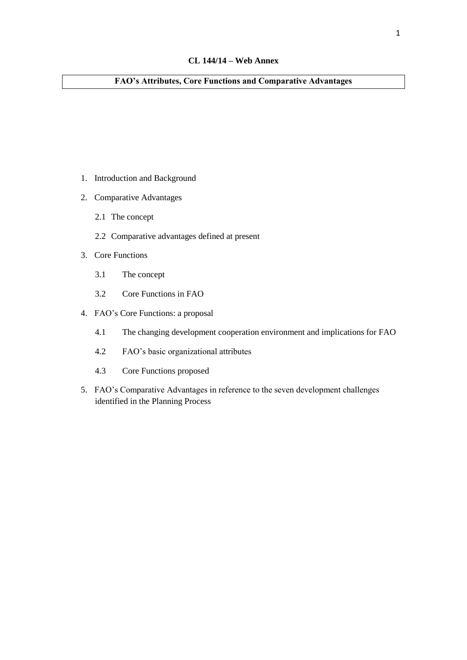## **FAO's Attributes, Core Functions and Comparative Advantages**

- 1. Introduction and Background
- 2. Comparative Advantages
	- 2.1 The concept
	- 2.2 Comparative advantages defined at present
- 3. Core Functions
	- 3.1 The concept
	- 3.2 Core Functions in FAO
- 4. FAO's Core Functions: a proposal
	- 4.1 The changing development cooperation environment and implications for FAO
	- 4.2 FAO's basic organizational attributes
	- 4.3 Core Functions proposed
- 5. FAO's Comparative Advantages in reference to the seven development challenges identified in the Planning Process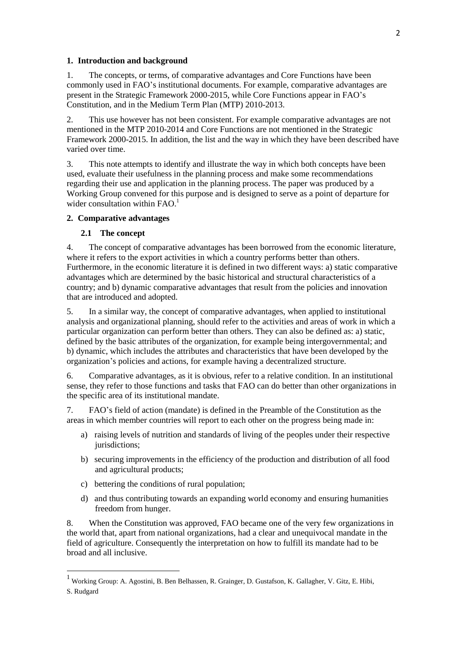#### **1. Introduction and background**

1. The concepts, or terms, of comparative advantages and Core Functions have been commonly used in FAO's institutional documents. For example, comparative advantages are present in the Strategic Framework 2000-2015, while Core Functions appear in FAO's Constitution, and in the Medium Term Plan (MTP) 2010-2013.

2. This use however has not been consistent. For example comparative advantages are not mentioned in the MTP 2010-2014 and Core Functions are not mentioned in the Strategic Framework 2000-2015. In addition, the list and the way in which they have been described have varied over time.

3. This note attempts to identify and illustrate the way in which both concepts have been used, evaluate their usefulness in the planning process and make some recommendations regarding their use and application in the planning process. The paper was produced by a Working Group convened for this purpose and is designed to serve as a point of departure for wider consultation within FAO.<sup>1</sup>

#### **2. Comparative advantages**

#### **2.1 The concept**

4. The concept of comparative advantages has been borrowed from the economic literature, where it refers to the export activities in which a country performs better than others. Furthermore, in the economic literature it is defined in two different ways: a) static comparative advantages which are determined by the basic historical and structural characteristics of a country; and b) dynamic comparative advantages that result from the policies and innovation that are introduced and adopted.

5. In a similar way, the concept of comparative advantages, when applied to institutional analysis and organizational planning, should refer to the activities and areas of work in which a particular organization can perform better than others. They can also be defined as: a) static, defined by the basic attributes of the organization, for example being intergovernmental; and b) dynamic, which includes the attributes and characteristics that have been developed by the organization's policies and actions, for example having a decentralized structure.

6. Comparative advantages, as it is obvious, refer to a relative condition. In an institutional sense, they refer to those functions and tasks that FAO can do better than other organizations in the specific area of its institutional mandate.

7. FAO's field of action (mandate) is defined in the Preamble of the Constitution as the areas in which member countries will report to each other on the progress being made in:

- a) raising levels of nutrition and standards of living of the peoples under their respective jurisdictions;
- b) securing improvements in the efficiency of the production and distribution of all food and agricultural products;
- c) bettering the conditions of rural population;

**.** 

d) and thus contributing towards an expanding world economy and ensuring humanities freedom from hunger.

8. When the Constitution was approved, FAO became one of the very few organizations in the world that, apart from national organizations, had a clear and unequivocal mandate in the field of agriculture. Consequently the interpretation on how to fulfill its mandate had to be broad and all inclusive.

<sup>1</sup> Working Group: A. Agostini, B. Ben Belhassen, R. Grainger, D. Gustafson, K. Gallagher, V. Gitz, E. Hibi, S. Rudgard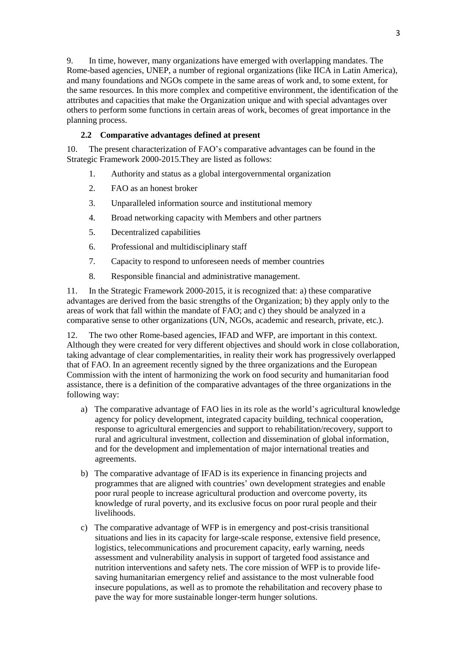9. In time, however, many organizations have emerged with overlapping mandates. The Rome-based agencies, UNEP, a number of regional organizations (like IICA in Latin America), and many foundations and NGOs compete in the same areas of work and, to some extent, for the same resources. In this more complex and competitive environment, the identification of the attributes and capacities that make the Organization unique and with special advantages over others to perform some functions in certain areas of work, becomes of great importance in the planning process.

## **2.2 Comparative advantages defined at present**

10. The present characterization of FAO's comparative advantages can be found in the Strategic Framework 2000-2015.They are listed as follows:

- 1. Authority and status as a global intergovernmental organization
- 2. FAO as an honest broker
- 3. Unparalleled information source and institutional memory
- 4. Broad networking capacity with Members and other partners
- 5. Decentralized capabilities
- 6. Professional and multidisciplinary staff
- 7. Capacity to respond to unforeseen needs of member countries
- 8. Responsible financial and administrative management.

11. In the Strategic Framework 2000-2015, it is recognized that: a) these comparative advantages are derived from the basic strengths of the Organization; b) they apply only to the areas of work that fall within the mandate of FAO; and c) they should be analyzed in a comparative sense to other organizations (UN, NGOs, academic and research, private, etc.).

12. The two other Rome-based agencies, IFAD and WFP, are important in this context. Although they were created for very different objectives and should work in close collaboration, taking advantage of clear complementarities, in reality their work has progressively overlapped that of FAO. In an agreement recently signed by the three organizations and the European Commission with the intent of harmonizing the work on food security and humanitarian food assistance, there is a definition of the comparative advantages of the three organizations in the following way:

- a) The comparative advantage of FAO lies in its role as the world's agricultural knowledge agency for policy development, integrated capacity building, technical cooperation, response to agricultural emergencies and support to rehabilitation/recovery, support to rural and agricultural investment, collection and dissemination of global information, and for the development and implementation of major international treaties and agreements.
- b) The comparative advantage of IFAD is its experience in financing projects and programmes that are aligned with countries' own development strategies and enable poor rural people to increase agricultural production and overcome poverty, its knowledge of rural poverty, and its exclusive focus on poor rural people and their livelihoods.
- c) The comparative advantage of WFP is in emergency and post-crisis transitional situations and lies in its capacity for large-scale response, extensive field presence, logistics, telecommunications and procurement capacity, early warning, needs assessment and vulnerability analysis in support of targeted food assistance and nutrition interventions and safety nets. The core mission of WFP is to provide lifesaving humanitarian emergency relief and assistance to the most vulnerable food insecure populations, as well as to promote the rehabilitation and recovery phase to pave the way for more sustainable longer-term hunger solutions.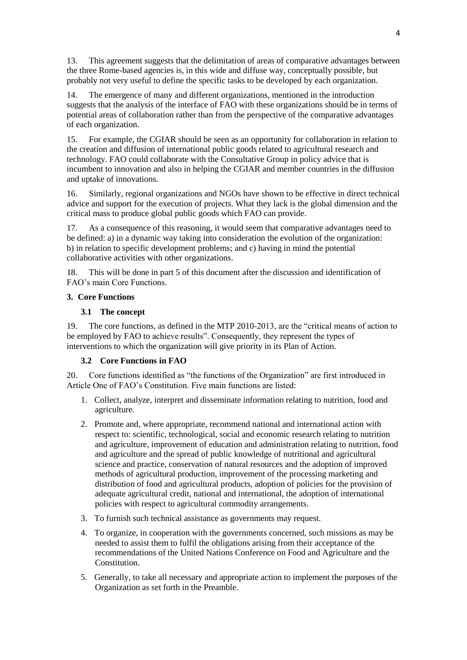13. This agreement suggests that the delimitation of areas of comparative advantages between the three Rome-based agencies is, in this wide and diffuse way, conceptually possible, but probably not very useful to define the specific tasks to be developed by each organization.

14. The emergence of many and different organizations, mentioned in the introduction suggests that the analysis of the interface of FAO with these organizations should be in terms of potential areas of collaboration rather than from the perspective of the comparative advantages of each organization.

15. For example, the CGIAR should be seen as an opportunity for collaboration in relation to the creation and diffusion of international public goods related to agricultural research and technology. FAO could collaborate with the Consultative Group in policy advice that is incumbent to innovation and also in helping the CGIAR and member countries in the diffusion and uptake of innovations.

16. Similarly, regional organizations and NGOs have shown to be effective in direct technical advice and support for the execution of projects. What they lack is the global dimension and the critical mass to produce global public goods which FAO can provide.

17. As a consequence of this reasoning, it would seem that comparative advantages need to be defined: a) in a dynamic way taking into consideration the evolution of the organization: b) in relation to specific development problems; and c) having in mind the potential collaborative activities with other organizations.

18. This will be done in part 5 of this document after the discussion and identification of FAO's main Core Functions.

## **3. Core Functions**

## **3.1 The concept**

19. The core functions, as defined in the MTP 2010-2013, are the "critical means of action to be employed by FAO to achieve results". Consequently, they represent the types of interventions to which the organization will give priority in its Plan of Action.

## **3.2 Core Functions in FAO**

20. Core functions identified as "the functions of the Organization" are first introduced in Article One of FAO's Constitution. Five main functions are listed:

- 1. Collect, analyze, interpret and disseminate information relating to nutrition, food and agriculture.
- 2. Promote and, where appropriate, recommend national and international action with respect to: scientific, technological, social and economic research relating to nutrition and agriculture, improvement of education and administration relating to nutrition, food and agriculture and the spread of public knowledge of nutritional and agricultural science and practice, conservation of natural resources and the adoption of improved methods of agricultural production, improvement of the processing marketing and distribution of food and agricultural products, adoption of policies for the provision of adequate agricultural credit, national and international, the adoption of international policies with respect to agricultural commodity arrangements.
- 3. To furnish such technical assistance as governments may request.
- 4. To organize, in cooperation with the governments concerned, such missions as may be needed to assist them to fulfil the obligations arising from their acceptance of the recommendations of the United Nations Conference on Food and Agriculture and the Constitution.
- 5. Generally, to take all necessary and appropriate action to implement the purposes of the Organization as set forth in the Preamble.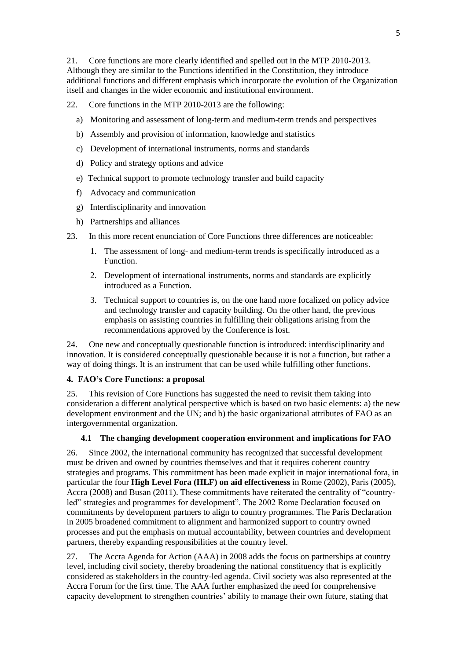21. Core functions are more clearly identified and spelled out in the MTP 2010-2013. Although they are similar to the Functions identified in the Constitution, they introduce additional functions and different emphasis which incorporate the evolution of the Organization itself and changes in the wider economic and institutional environment.

- 22. Core functions in the MTP 2010-2013 are the following:
	- a) Monitoring and assessment of long-term and medium-term trends and perspectives
	- b) Assembly and provision of information, knowledge and statistics
	- c) Development of international instruments, norms and standards
	- d) Policy and strategy options and advice
	- e) Technical support to promote technology transfer and build capacity
	- f) Advocacy and communication
	- g) Interdisciplinarity and innovation
	- h) Partnerships and alliances
- 23. In this more recent enunciation of Core Functions three differences are noticeable:
	- 1. The assessment of long- and medium-term trends is specifically introduced as a Function.
	- 2. Development of international instruments, norms and standards are explicitly introduced as a Function.
	- 3. Technical support to countries is, on the one hand more focalized on policy advice and technology transfer and capacity building. On the other hand, the previous emphasis on assisting countries in fulfilling their obligations arising from the recommendations approved by the Conference is lost.

24. One new and conceptually questionable function is introduced: interdisciplinarity and innovation. It is considered conceptually questionable because it is not a function, but rather a way of doing things. It is an instrument that can be used while fulfilling other functions.

# **4. FAO's Core Functions: a proposal**

25. This revision of Core Functions has suggested the need to revisit them taking into consideration a different analytical perspective which is based on two basic elements: a) the new development environment and the UN; and b) the basic organizational attributes of FAO as an intergovernmental organization.

## **4.1 The changing development cooperation environment and implications for FAO**

26. Since 2002, the international community has recognized that successful development must be driven and owned by countries themselves and that it requires coherent country strategies and programs. This commitment has been made explicit in major international fora, in particular the four **High Level Fora (HLF) on aid effectiveness** in Rome (2002), Paris (2005), Accra (2008) and Busan (2011). These commitments have reiterated the centrality of "countryled" strategies and programmes for development". The 2002 Rome Declaration focused on commitments by development partners to align to country programmes. The Paris Declaration in 2005 broadened commitment to alignment and harmonized support to country owned processes and put the emphasis on mutual accountability, between countries and development partners, thereby expanding responsibilities at the country level.

27. The Accra Agenda for Action (AAA) in 2008 adds the focus on partnerships at country level, including civil society, thereby broadening the national constituency that is explicitly considered as stakeholders in the country-led agenda. Civil society was also represented at the Accra Forum for the first time. The AAA further emphasized the need for comprehensive capacity development to strengthen countries' ability to manage their own future, stating that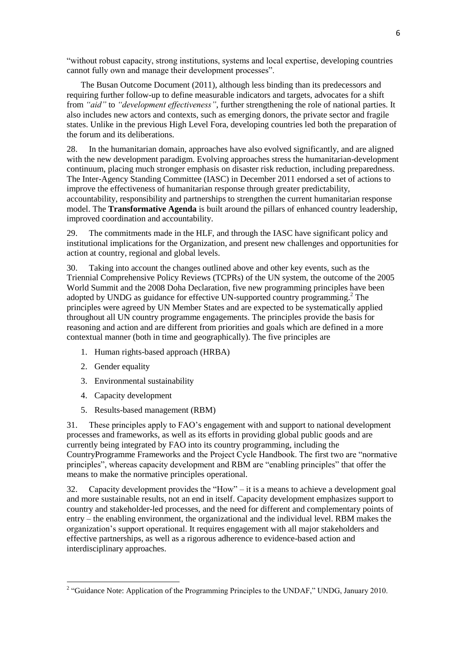"without robust capacity, strong institutions, systems and local expertise, developing countries cannot fully own and manage their development processes".

The Busan Outcome Document (2011), although less binding than its predecessors and requiring further follow-up to define measurable indicators and targets, advocates for a shift from *"aid"* to *"development effectiveness"*, further strengthening the role of national parties. It also includes new actors and contexts, such as emerging donors, the private sector and fragile states. Unlike in the previous High Level Fora, developing countries led both the preparation of the forum and its deliberations.

28. In the humanitarian domain, approaches have also evolved significantly, and are aligned with the new development paradigm. Evolving approaches stress the humanitarian-development continuum, placing much stronger emphasis on disaster risk reduction, including preparedness. The Inter-Agency Standing Committee (IASC) in December 2011 endorsed a set of actions to improve the effectiveness of humanitarian response through greater predictability, accountability, responsibility and partnerships to strengthen the current humanitarian response model. The **Transformative Agenda** is built around the pillars of enhanced country leadership, improved coordination and accountability.

29. The commitments made in the HLF, and through the IASC have significant policy and institutional implications for the Organization, and present new challenges and opportunities for action at country, regional and global levels.

30. Taking into account the changes outlined above and other key events, such as the Triennial Comprehensive Policy Reviews (TCPRs) of the UN system, the outcome of the 2005 World Summit and the 2008 Doha Declaration, five new programming principles have been adopted by UNDG as guidance for effective UN-supported country programming. <sup>2</sup> The principles were agreed by UN Member States and are expected to be systematically applied throughout all UN country programme engagements. The principles provide the basis for reasoning and action and are different from priorities and goals which are defined in a more contextual manner (both in time and geographically). The five principles are

- 1. Human rights-based approach (HRBA)
- 2. Gender equality

 $\overline{a}$ 

- 3. Environmental sustainability
- 4. Capacity development
- 5. Results-based management (RBM)

31. These principles apply to FAO's engagement with and support to national development processes and frameworks, as well as its efforts in providing global public goods and are currently being integrated by FAO into its country programming, including the CountryProgramme Frameworks and the Project Cycle Handbook. The first two are "normative principles", whereas capacity development and RBM are "enabling principles" that offer the means to make the normative principles operational.

32. Capacity development provides the "How" – it is a means to achieve a development goal and more sustainable results, not an end in itself. Capacity development emphasizes support to country and stakeholder-led processes, and the need for different and complementary points of entry – the enabling environment, the organizational and the individual level. RBM makes the organization's support operational. It requires engagement with all major stakeholders and effective partnerships, as well as a rigorous adherence to evidence-based action and interdisciplinary approaches.

<sup>&</sup>lt;sup>2</sup> "Guidance Note: Application of the Programming Principles to the UNDAF," UNDG, January 2010.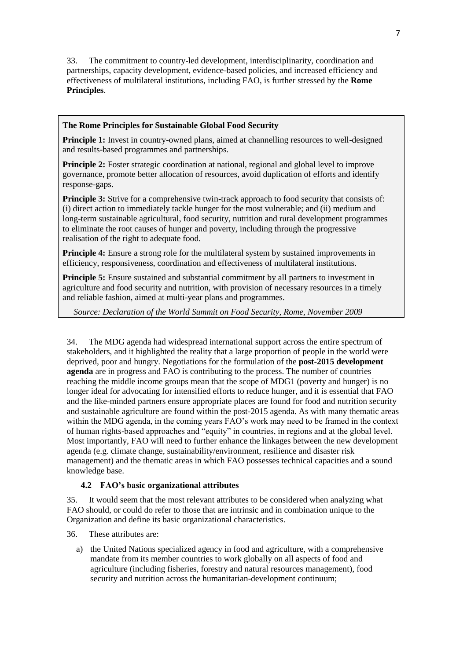33. The commitment to country-led development, interdisciplinarity, coordination and partnerships, capacity development, evidence-based policies, and increased efficiency and effectiveness of multilateral institutions, including FAO, is further stressed by the **Rome Principles**.

## **The Rome Principles for Sustainable Global Food Security**

**Principle 1:** Invest in country-owned plans, aimed at channelling resources to well-designed and results-based programmes and partnerships.

**Principle 2:** Foster strategic coordination at national, regional and global level to improve governance, promote better allocation of resources, avoid duplication of efforts and identify response-gaps.

**Principle 3:** Strive for a comprehensive twin-track approach to food security that consists of: (i) direct action to immediately tackle hunger for the most vulnerable; and (ii) medium and long-term sustainable agricultural, food security, nutrition and rural development programmes to eliminate the root causes of hunger and poverty, including through the progressive realisation of the right to adequate food.

**Principle 4:** Ensure a strong role for the multilateral system by sustained improvements in efficiency, responsiveness, coordination and effectiveness of multilateral institutions.

**Principle 5:** Ensure sustained and substantial commitment by all partners to investment in agriculture and food security and nutrition, with provision of necessary resources in a timely and reliable fashion, aimed at multi-year plans and programmes.

*Source: Declaration of the World Summit on Food Security, Rome, November 2009*

34. The MDG agenda had widespread international support across the entire spectrum of stakeholders, and it highlighted the reality that a large proportion of people in the world were deprived, poor and hungry. Negotiations for the formulation of the **post-2015 development agenda** are in progress and FAO is contributing to the process. The number of countries reaching the middle income groups mean that the scope of MDG1 (poverty and hunger) is no longer ideal for advocating for intensified efforts to reduce hunger, and it is essential that FAO and the like-minded partners ensure appropriate places are found for food and nutrition security and sustainable agriculture are found within the post-2015 agenda. As with many thematic areas within the MDG agenda, in the coming years FAO's work may need to be framed in the context of human rights-based approaches and "equity" in countries, in regions and at the global level. Most importantly, FAO will need to further enhance the linkages between the new development agenda (e.g. climate change, sustainability/environment, resilience and disaster risk management) and the thematic areas in which FAO possesses technical capacities and a sound knowledge base.

## **4.2 FAO's basic organizational attributes**

35. It would seem that the most relevant attributes to be considered when analyzing what FAO should, or could do refer to those that are intrinsic and in combination unique to the Organization and define its basic organizational characteristics.

36. These attributes are:

a) the United Nations specialized agency in food and agriculture, with a comprehensive mandate from its member countries to work globally on all aspects of food and agriculture (including fisheries, forestry and natural resources management), food security and nutrition across the humanitarian-development continuum;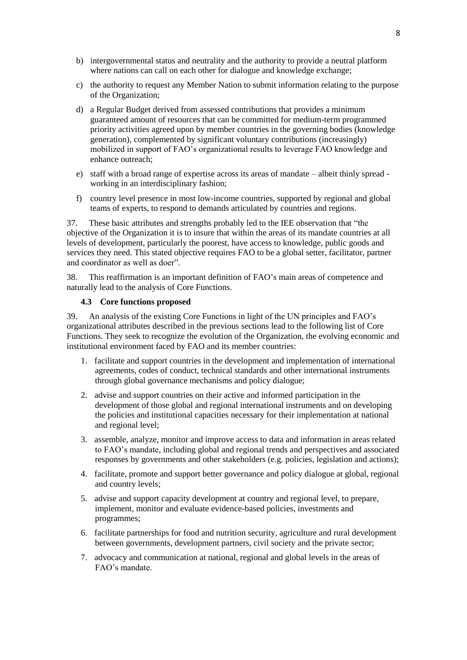- b) intergovernmental status and neutrality and the authority to provide a neutral platform where nations can call on each other for dialogue and knowledge exchange;
- c) the authority to request any Member Nation to submit information relating to the purpose of the Organization;
- d) a Regular Budget derived from assessed contributions that provides a minimum guaranteed amount of resources that can be committed for medium-term programmed priority activities agreed upon by member countries in the governing bodies (knowledge generation), complemented by significant voluntary contributions (increasingly) mobilized in support of FAO's organizational results to leverage FAO knowledge and enhance outreach;
- e) staff with a broad range of expertise across its areas of mandate albeit thinly spread working in an interdisciplinary fashion;
- f) country level presence in most low-income countries, supported by regional and global teams of experts, to respond to demands articulated by countries and regions.

37. These basic attributes and strengths probably led to the IEE observation that "the objective of the Organization it is to insure that within the areas of its mandate countries at all levels of development, particularly the poorest, have access to knowledge, public goods and services they need. This stated objective requires FAO to be a global setter, facilitator, partner and coordinator as well as doer".

38. This reaffirmation is an important definition of FAO's main areas of competence and naturally lead to the analysis of Core Functions.

#### **4.3 Core functions proposed**

39. An analysis of the existing Core Functions in light of the UN principles and FAO's organizational attributes described in the previous sections lead to the following list of Core Functions. They seek to recognize the evolution of the Organization, the evolving economic and institutional environment faced by FAO and its member countries:

- 1. facilitate and support countries in the development and implementation of international agreements, codes of conduct, technical standards and other international instruments through global governance mechanisms and policy dialogue;
- 2. advise and support countries on their active and informed participation in the development of those global and regional international instruments and on developing the policies and institutional capacities necessary for their implementation at national and regional level;
- 3. assemble, analyze, monitor and improve access to data and information in areas related to FAO's mandate, including global and regional trends and perspectives and associated responses by governments and other stakeholders (e.g. policies, legislation and actions);
- 4. facilitate, promote and support better governance and policy dialogue at global, regional and country levels;
- 5. advise and support capacity development at country and regional level, to prepare, implement, monitor and evaluate evidence-based policies, investments and programmes;
- 6. facilitate partnerships for food and nutrition security, agriculture and rural development between governments, development partners, civil society and the private sector;
- 7. advocacy and communication at national, regional and global levels in the areas of FAO's mandate.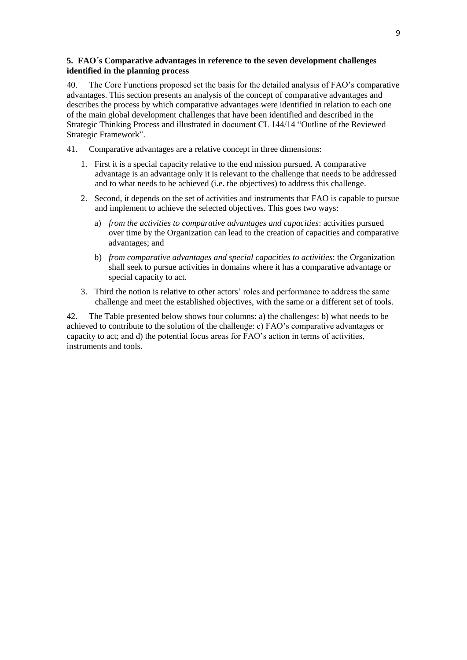## **5. FAO´s Comparative advantages in reference to the seven development challenges identified in the planning process**

40. The Core Functions proposed set the basis for the detailed analysis of FAO's comparative advantages. This section presents an analysis of the concept of comparative advantages and describes the process by which comparative advantages were identified in relation to each one of the main global development challenges that have been identified and described in the Strategic Thinking Process and illustrated in document CL 144/14 "Outline of the Reviewed Strategic Framework".

- 41. Comparative advantages are a relative concept in three dimensions:
	- 1. First it is a special capacity relative to the end mission pursued. A comparative advantage is an advantage only it is relevant to the challenge that needs to be addressed and to what needs to be achieved (i.e. the objectives) to address this challenge.
	- 2. Second, it depends on the set of activities and instruments that FAO is capable to pursue and implement to achieve the selected objectives. This goes two ways:
		- a) *from the activities to comparative advantages and capacities*: activities pursued over time by the Organization can lead to the creation of capacities and comparative advantages; and
		- b) *from comparative advantages and special capacities to activities*: the Organization shall seek to pursue activities in domains where it has a comparative advantage or special capacity to act.
	- 3. Third the notion is relative to other actors' roles and performance to address the same challenge and meet the established objectives, with the same or a different set of tools.

42. The Table presented below shows four columns: a) the challenges: b) what needs to be achieved to contribute to the solution of the challenge: c) FAO's comparative advantages or capacity to act; and d) the potential focus areas for FAO's action in terms of activities, instruments and tools.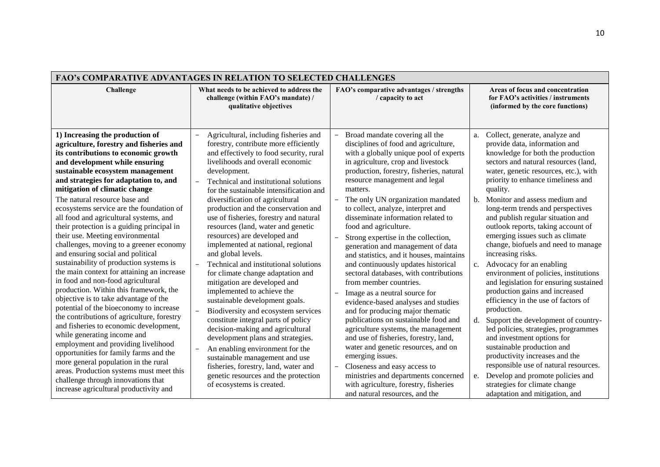| <b>FAO's COMPARATIVE ADVANTAGES IN RELATION TO SELECTED CHALLENGES</b>                                                                                                                                                                                                                                                                                                                                                                                                                                 |                                                                                                                                                                                                                                                                                                                                                                                                                                 |                                                                                                                                                                                                                                                                                                                                                                                                                                                                                                |                                                                                                                                                                                                                                                                                                                                                                                                                                            |
|--------------------------------------------------------------------------------------------------------------------------------------------------------------------------------------------------------------------------------------------------------------------------------------------------------------------------------------------------------------------------------------------------------------------------------------------------------------------------------------------------------|---------------------------------------------------------------------------------------------------------------------------------------------------------------------------------------------------------------------------------------------------------------------------------------------------------------------------------------------------------------------------------------------------------------------------------|------------------------------------------------------------------------------------------------------------------------------------------------------------------------------------------------------------------------------------------------------------------------------------------------------------------------------------------------------------------------------------------------------------------------------------------------------------------------------------------------|--------------------------------------------------------------------------------------------------------------------------------------------------------------------------------------------------------------------------------------------------------------------------------------------------------------------------------------------------------------------------------------------------------------------------------------------|
| Challenge                                                                                                                                                                                                                                                                                                                                                                                                                                                                                              | What needs to be achieved to address the<br>challenge (within FAO's mandate) /<br>qualitative objectives                                                                                                                                                                                                                                                                                                                        | FAO's comparative advantages / strengths<br>/ capacity to act                                                                                                                                                                                                                                                                                                                                                                                                                                  | Areas of focus and concentration<br>for FAO's activities / instruments<br>(informed by the core functions)                                                                                                                                                                                                                                                                                                                                 |
| 1) Increasing the production of<br>agriculture, forestry and fisheries and<br>its contributions to economic growth<br>and development while ensuring<br>sustainable ecosystem management<br>and strategies for adaptation to, and<br>mitigation of climatic change                                                                                                                                                                                                                                     | Agricultural, including fisheries and<br>forestry, contribute more efficiently<br>and effectively to food security, rural<br>livelihoods and overall economic<br>development.<br>Technical and institutional solutions<br>for the sustainable intensification and                                                                                                                                                               | Broad mandate covering all the<br>$\overline{\phantom{a}}$<br>disciplines of food and agriculture,<br>with a globally unique pool of experts<br>in agriculture, crop and livestock<br>production, forestry, fisheries, natural<br>resource management and legal<br>matters.                                                                                                                                                                                                                    | Collect, generate, analyze and<br>a.<br>provide data, information and<br>knowledge for both the production<br>sectors and natural resources (land,<br>water, genetic resources, etc.), with<br>priority to enhance timeliness and<br>quality.                                                                                                                                                                                              |
| The natural resource base and<br>ecosystems service are the foundation of<br>all food and agricultural systems, and<br>their protection is a guiding principal in<br>their use. Meeting environmental<br>challenges, moving to a greener economy<br>and ensuring social and political<br>sustainability of production systems is<br>the main context for attaining an increase<br>in food and non-food agricultural<br>production. Within this framework, the<br>objective is to take advantage of the | diversification of agricultural<br>production and the conservation and<br>use of fisheries, forestry and natural<br>resources (land, water and genetic<br>resources) are developed and<br>implemented at national, regional<br>and global levels.<br>Technical and institutional solutions<br>for climate change adaptation and<br>mitigation are developed and<br>implemented to achieve the<br>sustainable development goals. | The only UN organization mandated<br>$\overline{\phantom{0}}$<br>to collect, analyze, interpret and<br>disseminate information related to<br>food and agriculture.<br>Strong expertise in the collection,<br>$\overline{\phantom{m}}$<br>generation and management of data<br>and statistics, and it houses, maintains<br>and continuously updates historical<br>sectoral databases, with contributions<br>from member countries.<br>Image as a neutral source for<br>$\overline{\phantom{m}}$ | b. Monitor and assess medium and<br>long-term trends and perspectives<br>and publish regular situation and<br>outlook reports, taking account of<br>emerging issues such as climate<br>change, biofuels and need to manage<br>increasing risks.<br>c. Advocacy for an enabling<br>environment of policies, institutions<br>and legislation for ensuring sustained<br>production gains and increased<br>efficiency in the use of factors of |
| potential of the bioeconomy to increase<br>the contributions of agriculture, forestry<br>and fisheries to economic development,<br>while generating income and<br>employment and providing livelihood<br>opportunities for family farms and the<br>more general population in the rural<br>areas. Production systems must meet this<br>challenge through innovations that<br>increase agricultural productivity and                                                                                    | Biodiversity and ecosystem services<br>constitute integral parts of policy<br>decision-making and agricultural<br>development plans and strategies.<br>An enabling environment for the<br>$\overline{a}$<br>sustainable management and use<br>fisheries, forestry, land, water and<br>genetic resources and the protection<br>of ecosystems is created.                                                                         | evidence-based analyses and studies<br>and for producing major thematic<br>publications on sustainable food and<br>agriculture systems, the management<br>and use of fisheries, forestry, land,<br>water and genetic resources, and on<br>emerging issues.<br>Closeness and easy access to<br>$\overline{\phantom{0}}$<br>ministries and departments concerned<br>with agriculture, forestry, fisheries<br>and natural resources, and the                                                      | production.<br>Support the development of country-<br>d.<br>led policies, strategies, programmes<br>and investment options for<br>sustainable production and<br>productivity increases and the<br>responsible use of natural resources.<br>e. Develop and promote policies and<br>strategies for climate change<br>adaptation and mitigation, and                                                                                          |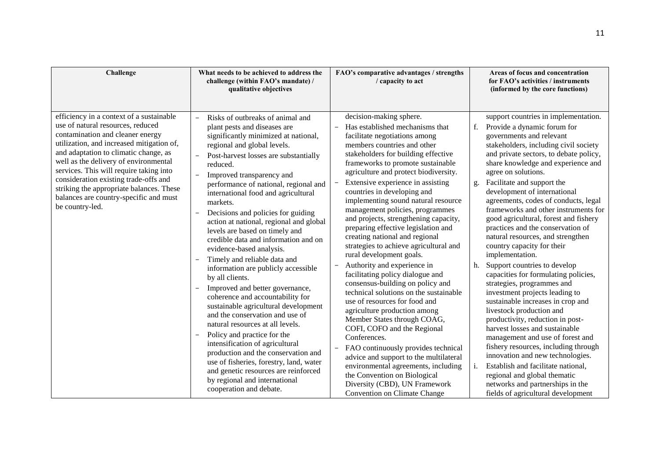| Challenge                                                                                                                                                                                                                                                                                                                                                                                                                                     | What needs to be achieved to address the<br>challenge (within FAO's mandate) /<br>qualitative objectives                                                                                                                                                                                                                                                                                                                                                                                                                                                                                                                                                                                                                                                                                                                                                                                                                                                                                                                                             | FAO's comparative advantages / strengths<br>/ capacity to act                                                                                                                                                                                                                                                                                                                                                                                                                                                                                                                                                                                                                                                                                                                                                                                                                                                                                                                                                                                                                                                                                                                                             | Areas of focus and concentration<br>for FAO's activities / instruments<br>(informed by the core functions)                                                                                                                                                                                                                                                                                                                                                                                                                                                                                                                                                                                                                                                                                                                                                                                                                                                                                                                                                                                                                         |
|-----------------------------------------------------------------------------------------------------------------------------------------------------------------------------------------------------------------------------------------------------------------------------------------------------------------------------------------------------------------------------------------------------------------------------------------------|------------------------------------------------------------------------------------------------------------------------------------------------------------------------------------------------------------------------------------------------------------------------------------------------------------------------------------------------------------------------------------------------------------------------------------------------------------------------------------------------------------------------------------------------------------------------------------------------------------------------------------------------------------------------------------------------------------------------------------------------------------------------------------------------------------------------------------------------------------------------------------------------------------------------------------------------------------------------------------------------------------------------------------------------------|-----------------------------------------------------------------------------------------------------------------------------------------------------------------------------------------------------------------------------------------------------------------------------------------------------------------------------------------------------------------------------------------------------------------------------------------------------------------------------------------------------------------------------------------------------------------------------------------------------------------------------------------------------------------------------------------------------------------------------------------------------------------------------------------------------------------------------------------------------------------------------------------------------------------------------------------------------------------------------------------------------------------------------------------------------------------------------------------------------------------------------------------------------------------------------------------------------------|------------------------------------------------------------------------------------------------------------------------------------------------------------------------------------------------------------------------------------------------------------------------------------------------------------------------------------------------------------------------------------------------------------------------------------------------------------------------------------------------------------------------------------------------------------------------------------------------------------------------------------------------------------------------------------------------------------------------------------------------------------------------------------------------------------------------------------------------------------------------------------------------------------------------------------------------------------------------------------------------------------------------------------------------------------------------------------------------------------------------------------|
| efficiency in a context of a sustainable<br>use of natural resources, reduced<br>contamination and cleaner energy<br>utilization, and increased mitigation of,<br>and adaptation to climatic change, as<br>well as the delivery of environmental<br>services. This will require taking into<br>consideration existing trade-offs and<br>striking the appropriate balances. These<br>balances are country-specific and must<br>be country-led. | Risks of outbreaks of animal and<br>plant pests and diseases are<br>significantly minimized at national,<br>regional and global levels.<br>Post-harvest losses are substantially<br>reduced.<br>Improved transparency and<br>performance of national, regional and<br>international food and agricultural<br>markets.<br>Decisions and policies for guiding<br>action at national, regional and global<br>levels are based on timely and<br>credible data and information and on<br>evidence-based analysis.<br>Timely and reliable data and<br>information are publicly accessible<br>by all clients.<br>Improved and better governance,<br>coherence and accountability for<br>sustainable agricultural development<br>and the conservation and use of<br>natural resources at all levels.<br>Policy and practice for the<br>intensification of agricultural<br>production and the conservation and<br>use of fisheries, forestry, land, water<br>and genetic resources are reinforced<br>by regional and international<br>cooperation and debate. | decision-making sphere.<br>Has established mechanisms that<br>facilitate negotiations among<br>members countries and other<br>stakeholders for building effective<br>frameworks to promote sustainable<br>agriculture and protect biodiversity.<br>Extensive experience in assisting<br>$\overline{\phantom{a}}$<br>countries in developing and<br>implementing sound natural resource<br>management policies, programmes<br>and projects, strengthening capacity,<br>preparing effective legislation and<br>creating national and regional<br>strategies to achieve agricultural and<br>rural development goals.<br>Authority and experience in<br>$\overline{\phantom{m}}$<br>facilitating policy dialogue and<br>consensus-building on policy and<br>technical solutions on the sustainable<br>use of resources for food and<br>agriculture production among<br>Member States through COAG,<br>COFI, COFO and the Regional<br>Conferences.<br>FAO continuously provides technical<br>$\overline{\phantom{0}}$<br>advice and support to the multilateral<br>environmental agreements, including<br>the Convention on Biological<br>Diversity (CBD), UN Framework<br><b>Convention on Climate Change</b> | support countries in implementation.<br>Provide a dynamic forum for<br>f.<br>governments and relevant<br>stakeholders, including civil society<br>and private sectors, to debate policy,<br>share knowledge and experience and<br>agree on solutions.<br>Facilitate and support the<br>g.<br>development of international<br>agreements, codes of conducts, legal<br>frameworks and other instruments for<br>good agricultural, forest and fishery<br>practices and the conservation of<br>natural resources, and strengthen<br>country capacity for their<br>implementation.<br>Support countries to develop<br>h.<br>capacities for formulating policies,<br>strategies, programmes and<br>investment projects leading to<br>sustainable increases in crop and<br>livestock production and<br>productivity, reduction in post-<br>harvest losses and sustainable<br>management and use of forest and<br>fishery resources, including through<br>innovation and new technologies.<br>Establish and facilitate national,<br>regional and global thematic<br>networks and partnerships in the<br>fields of agricultural development |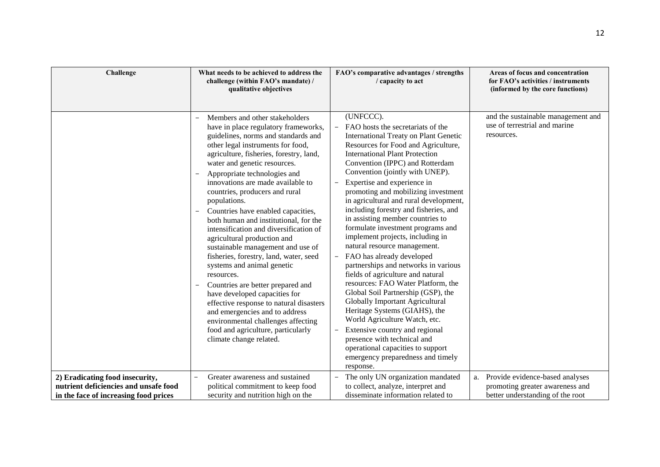| Challenge                                                                                                         | What needs to be achieved to address the<br>challenge (within FAO's mandate) /<br>qualitative objectives                                                                                                                                                                                                                                                                                                                                                                                                                                                                                                                                                                                                                                                                                                                                                                                                                      | FAO's comparative advantages / strengths<br>/ capacity to act                                                                                                                                                                                                                                                                                                                                                                                                                                                                                                                                                                                                                                                                                                                                                                                                                                                                                                                                                                                                                | Areas of focus and concentration<br>for FAO's activities / instruments<br>(informed by the core functions) |
|-------------------------------------------------------------------------------------------------------------------|-------------------------------------------------------------------------------------------------------------------------------------------------------------------------------------------------------------------------------------------------------------------------------------------------------------------------------------------------------------------------------------------------------------------------------------------------------------------------------------------------------------------------------------------------------------------------------------------------------------------------------------------------------------------------------------------------------------------------------------------------------------------------------------------------------------------------------------------------------------------------------------------------------------------------------|------------------------------------------------------------------------------------------------------------------------------------------------------------------------------------------------------------------------------------------------------------------------------------------------------------------------------------------------------------------------------------------------------------------------------------------------------------------------------------------------------------------------------------------------------------------------------------------------------------------------------------------------------------------------------------------------------------------------------------------------------------------------------------------------------------------------------------------------------------------------------------------------------------------------------------------------------------------------------------------------------------------------------------------------------------------------------|------------------------------------------------------------------------------------------------------------|
|                                                                                                                   | Members and other stakeholders<br>have in place regulatory frameworks,<br>guidelines, norms and standards and<br>other legal instruments for food,<br>agriculture, fisheries, forestry, land,<br>water and genetic resources.<br>Appropriate technologies and<br>$\overline{\phantom{a}}$<br>innovations are made available to<br>countries, producers and rural<br>populations.<br>Countries have enabled capacities,<br>both human and institutional, for the<br>intensification and diversification of<br>agricultural production and<br>sustainable management and use of<br>fisheries, forestry, land, water, seed<br>systems and animal genetic<br>resources.<br>Countries are better prepared and<br>have developed capacities for<br>effective response to natural disasters<br>and emergencies and to address<br>environmental challenges affecting<br>food and agriculture, particularly<br>climate change related. | (UNFCCC).<br>FAO hosts the secretariats of the<br><b>International Treaty on Plant Genetic</b><br>Resources for Food and Agriculture,<br><b>International Plant Protection</b><br>Convention (IPPC) and Rotterdam<br>Convention (jointly with UNEP).<br>Expertise and experience in<br>$\qquad \qquad -$<br>promoting and mobilizing investment<br>in agricultural and rural development,<br>including forestry and fisheries, and<br>in assisting member countries to<br>formulate investment programs and<br>implement projects, including in<br>natural resource management.<br>FAO has already developed<br>$-$<br>partnerships and networks in various<br>fields of agriculture and natural<br>resources: FAO Water Platform, the<br>Global Soil Partnership (GSP), the<br><b>Globally Important Agricultural</b><br>Heritage Systems (GIAHS), the<br>World Agriculture Watch, etc.<br>Extensive country and regional<br>$\overline{\phantom{0}}$<br>presence with technical and<br>operational capacities to support<br>emergency preparedness and timely<br>response. | and the sustainable management and<br>use of terrestrial and marine<br>resources.                          |
| 2) Eradicating food insecurity,<br>nutrient deficiencies and unsafe food<br>in the face of increasing food prices | Greater awareness and sustained<br>political commitment to keep food<br>security and nutrition high on the                                                                                                                                                                                                                                                                                                                                                                                                                                                                                                                                                                                                                                                                                                                                                                                                                    | The only UN organization mandated<br>$\overline{\phantom{0}}$<br>to collect, analyze, interpret and<br>disseminate information related to                                                                                                                                                                                                                                                                                                                                                                                                                                                                                                                                                                                                                                                                                                                                                                                                                                                                                                                                    | a. Provide evidence-based analyses<br>promoting greater awareness and<br>better understanding of the root  |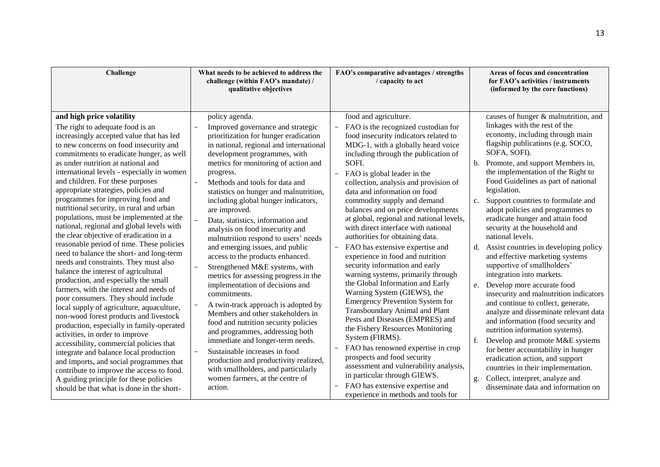| Challenge                                                                                                                                                                                                                                                                                                                                                                                                                                                                                                                                                                                                                                                                                                                                                                                                                                                                                                                                                                                                                                                                                                                                                                                                                                                                                                                                                      | What needs to be achieved to address the<br>challenge (within FAO's mandate) /<br>qualitative objectives                                                                                                                                                                                                                                                                                                                                                                                                                                                                                                                                                                                                                                                                                                                                                                                                                                                                                                                                        | FAO's comparative advantages / strengths<br>/ capacity to act                                                                                                                                                                                                                                                                                                                                                                                                                                                                                                                                                                                                                                                                                                                                                                                                                                                                                                                                                                                                                                                                                                                               | Areas of focus and concentration<br>for FAO's activities / instruments<br>(informed by the core functions)                                                                                                                                                                                                                                                                                                                                                                                                                                                                                                                                                                                                                                                                                                                                                                                                                                                                                                                                                                                        |
|----------------------------------------------------------------------------------------------------------------------------------------------------------------------------------------------------------------------------------------------------------------------------------------------------------------------------------------------------------------------------------------------------------------------------------------------------------------------------------------------------------------------------------------------------------------------------------------------------------------------------------------------------------------------------------------------------------------------------------------------------------------------------------------------------------------------------------------------------------------------------------------------------------------------------------------------------------------------------------------------------------------------------------------------------------------------------------------------------------------------------------------------------------------------------------------------------------------------------------------------------------------------------------------------------------------------------------------------------------------|-------------------------------------------------------------------------------------------------------------------------------------------------------------------------------------------------------------------------------------------------------------------------------------------------------------------------------------------------------------------------------------------------------------------------------------------------------------------------------------------------------------------------------------------------------------------------------------------------------------------------------------------------------------------------------------------------------------------------------------------------------------------------------------------------------------------------------------------------------------------------------------------------------------------------------------------------------------------------------------------------------------------------------------------------|---------------------------------------------------------------------------------------------------------------------------------------------------------------------------------------------------------------------------------------------------------------------------------------------------------------------------------------------------------------------------------------------------------------------------------------------------------------------------------------------------------------------------------------------------------------------------------------------------------------------------------------------------------------------------------------------------------------------------------------------------------------------------------------------------------------------------------------------------------------------------------------------------------------------------------------------------------------------------------------------------------------------------------------------------------------------------------------------------------------------------------------------------------------------------------------------|---------------------------------------------------------------------------------------------------------------------------------------------------------------------------------------------------------------------------------------------------------------------------------------------------------------------------------------------------------------------------------------------------------------------------------------------------------------------------------------------------------------------------------------------------------------------------------------------------------------------------------------------------------------------------------------------------------------------------------------------------------------------------------------------------------------------------------------------------------------------------------------------------------------------------------------------------------------------------------------------------------------------------------------------------------------------------------------------------|
| and high price volatility<br>The right to adequate food is an<br>$\overline{\phantom{a}}$<br>increasingly accepted value that has led<br>to new concerns on food insecurity and<br>commitments to eradicate hunger, as well<br>as under nutrition at national and<br>international levels - especially in women<br>and children. For these purposes<br>appropriate strategies, policies and<br>programmes for improving food and<br>nutritional security, in rural and urban<br>populations, must be implemented at the<br>national, regional and global levels with<br>the clear objective of eradication in a<br>reasonable period of time. These policies<br>need to balance the short- and long-term<br>needs and constraints. They must also<br>balance the interest of agricultural<br>production, and especially the small<br>farmers, with the interest and needs of<br>poor consumers. They should include<br>local supply of agriculture, aquaculture,<br>non-wood forest products and livestock<br>production, especially in family-operated<br>activities, in order to improve<br>accessibility, commercial policies that<br>integrate and balance local production<br>and imports, and social programmes that<br>contribute to improve the access to food.<br>A guiding principle for these policies<br>should be that what is done in the short- | policy agenda.<br>Improved governance and strategic<br>prioritization for hunger eradication<br>in national, regional and international<br>development programmes, with<br>metrics for monitoring of action and<br>progress.<br>Methods and tools for data and<br>statistics on hunger and malnutrition,<br>including global hunger indicators,<br>are improved.<br>Data, statistics, information and<br>analysis on food insecurity and<br>malnutrition respond to users' needs<br>and emerging issues, and public<br>access to the products enhanced.<br>Strengthened M&E systems, with<br>metrics for assessing progress in the<br>implementation of decisions and<br>commitments.<br>A twin-track approach is adopted by<br>Members and other stakeholders in<br>food and nutrition security policies<br>and programmes, addressing both<br>immediate and longer-term needs.<br>Sustainable increases in food<br>production and productivity realized,<br>with smallholders, and particularly<br>women farmers, at the centre of<br>action. | food and agriculture.<br>FAO is the recognized custodian for<br>$\overline{\phantom{0}}$<br>food insecurity indicators related to<br>MDG-1, with a globally heard voice<br>including through the publication of<br>SOFI.<br>$\equiv$<br>FAO is global leader in the<br>collection, analysis and provision of<br>data and information on food<br>commodity supply and demand<br>balances and on price developments<br>at global, regional and national levels,<br>with direct interface with national<br>authorities for obtaining data.<br>FAO has extensive expertise and<br>$-$<br>experience in food and nutrition<br>security information and early<br>warning systems, primarily through<br>the Global Information and Early<br>Warning System (GIEWS), the<br><b>Emergency Prevention System for</b><br>Transboundary Animal and Plant<br>Pests and Diseases (EMPRES) and<br>the Fishery Resources Monitoring<br>System (FIRMS).<br>FAO has renowned expertise in crop<br>$\overline{\phantom{0}}$<br>prospects and food security<br>assessment and vulnerability analysis,<br>in particular through GIEWS.<br>FAO has extensive expertise and<br>experience in methods and tools for | causes of hunger & malnutrition, and<br>linkages with the rest of the<br>economy, including through main<br>flagship publications (e.g. SOCO,<br>SOFA, SOFI).<br>b. Promote, and support Members in,<br>the implementation of the Right to<br>Food Guidelines as part of national<br>legislation.<br>Support countries to formulate and<br>c.<br>adopt policies and programmes to<br>eradicate hunger and attain food<br>security at the household and<br>national levels.<br>d. Assist countries in developing policy<br>and effective marketing systems<br>supportive of smallholders'<br>integration into markets.<br>e. Develop more accurate food<br>insecurity and malnutrition indicators<br>and continue to collect, generate,<br>analyze and disseminate relevant data<br>and information (food security and<br>nutrition information systems).<br>f.<br>Develop and promote M&E systems<br>for better accountability in hunger<br>eradication action, and support<br>countries in their implementation.<br>Collect, interpret, analyze and<br>g.<br>disseminate data and information on |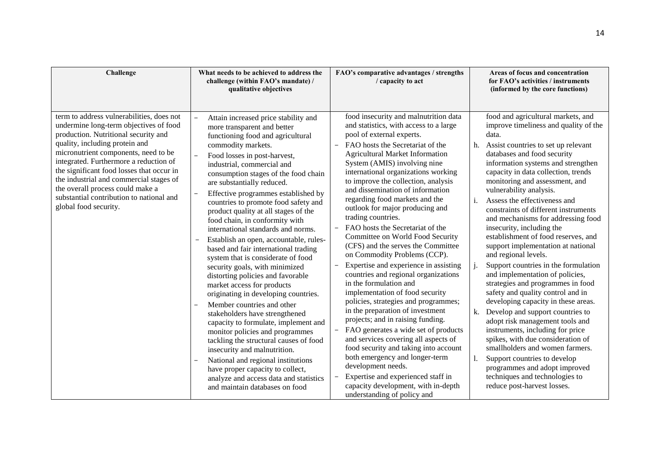| Challenge                                                                                                                                                                                                                                                                                                                                                                                                                                        | What needs to be achieved to address the<br>challenge (within FAO's mandate) /<br>qualitative objectives                                                                                                                                                                                                                                                                                                                                                                                                                                                                                                                                                                                                                                                                                                                                                                                                                                                                                                                                                                                                          | FAO's comparative advantages / strengths<br>/ capacity to act                                                                                                                                                                                                                                                                                                                                                                                                                                                                                                                                                                                                                                                                                                                                                                                                                                                                                                                                                                                                                                                                                                                                                                                                     | Areas of focus and concentration<br>for FAO's activities / instruments<br>(informed by the core functions)                                                                                                                                                                                                                                                                                                                                                                                                                                                                                                                                                                                                                                                                                                                                                                                                                                                                                                                                                                                    |
|--------------------------------------------------------------------------------------------------------------------------------------------------------------------------------------------------------------------------------------------------------------------------------------------------------------------------------------------------------------------------------------------------------------------------------------------------|-------------------------------------------------------------------------------------------------------------------------------------------------------------------------------------------------------------------------------------------------------------------------------------------------------------------------------------------------------------------------------------------------------------------------------------------------------------------------------------------------------------------------------------------------------------------------------------------------------------------------------------------------------------------------------------------------------------------------------------------------------------------------------------------------------------------------------------------------------------------------------------------------------------------------------------------------------------------------------------------------------------------------------------------------------------------------------------------------------------------|-------------------------------------------------------------------------------------------------------------------------------------------------------------------------------------------------------------------------------------------------------------------------------------------------------------------------------------------------------------------------------------------------------------------------------------------------------------------------------------------------------------------------------------------------------------------------------------------------------------------------------------------------------------------------------------------------------------------------------------------------------------------------------------------------------------------------------------------------------------------------------------------------------------------------------------------------------------------------------------------------------------------------------------------------------------------------------------------------------------------------------------------------------------------------------------------------------------------------------------------------------------------|-----------------------------------------------------------------------------------------------------------------------------------------------------------------------------------------------------------------------------------------------------------------------------------------------------------------------------------------------------------------------------------------------------------------------------------------------------------------------------------------------------------------------------------------------------------------------------------------------------------------------------------------------------------------------------------------------------------------------------------------------------------------------------------------------------------------------------------------------------------------------------------------------------------------------------------------------------------------------------------------------------------------------------------------------------------------------------------------------|
| term to address vulnerabilities, does not<br>undermine long-term objectives of food<br>production. Nutritional security and<br>quality, including protein and<br>micronutrient components, need to be<br>integrated. Furthermore a reduction of<br>the significant food losses that occur in<br>the industrial and commercial stages of<br>the overall process could make a<br>substantial contribution to national and<br>global food security. | Attain increased price stability and<br>more transparent and better<br>functioning food and agricultural<br>commodity markets.<br>Food losses in post-harvest,<br>industrial, commercial and<br>consumption stages of the food chain<br>are substantially reduced.<br>Effective programmes established by<br>countries to promote food safety and<br>product quality at all stages of the<br>food chain, in conformity with<br>international standards and norms.<br>Establish an open, accountable, rules-<br>based and fair international trading<br>system that is considerate of food<br>security goals, with minimized<br>distorting policies and favorable<br>market access for products<br>originating in developing countries.<br>Member countries and other<br>stakeholders have strengthened<br>capacity to formulate, implement and<br>monitor policies and programmes<br>tackling the structural causes of food<br>insecurity and malnutrition.<br>National and regional institutions<br>have proper capacity to collect,<br>analyze and access data and statistics<br>and maintain databases on food | food insecurity and malnutrition data<br>and statistics, with access to a large<br>pool of external experts.<br>FAO hosts the Secretariat of the<br><b>Agricultural Market Information</b><br>System (AMIS) involving nine<br>international organizations working<br>to improve the collection, analysis<br>and dissemination of information<br>regarding food markets and the<br>outlook for major producing and<br>trading countries.<br>FAO hosts the Secretariat of the<br>$\overline{\phantom{a}}$<br>Committee on World Food Security<br>(CFS) and the serves the Committee<br>on Commodity Problems (CCP).<br>Expertise and experience in assisting<br>$\overline{\phantom{a}}$<br>countries and regional organizations<br>in the formulation and<br>implementation of food security<br>policies, strategies and programmes;<br>in the preparation of investment<br>projects; and in raising funding.<br>FAO generates a wide set of products<br>$\overline{\phantom{a}}$<br>and services covering all aspects of<br>food security and taking into account<br>both emergency and longer-term<br>development needs.<br>Expertise and experienced staff in<br>$\overline{\phantom{m}}$<br>capacity development, with in-depth<br>understanding of policy and | food and agricultural markets, and<br>improve timeliness and quality of the<br>data.<br>h. Assist countries to set up relevant<br>databases and food security<br>information systems and strengthen<br>capacity in data collection, trends<br>monitoring and assessment, and<br>vulnerability analysis.<br>Assess the effectiveness and<br>$\mathbf{i}$ .<br>constraints of different instruments<br>and mechanisms for addressing food<br>insecurity, including the<br>establishment of food reserves, and<br>support implementation at national<br>and regional levels.<br>Support countries in the formulation<br>and implementation of policies,<br>strategies and programmes in food<br>safety and quality control and in<br>developing capacity in these areas.<br>k. Develop and support countries to<br>adopt risk management tools and<br>instruments, including for price<br>spikes, with due consideration of<br>smallholders and women farmers.<br>Support countries to develop<br>programmes and adopt improved<br>techniques and technologies to<br>reduce post-harvest losses. |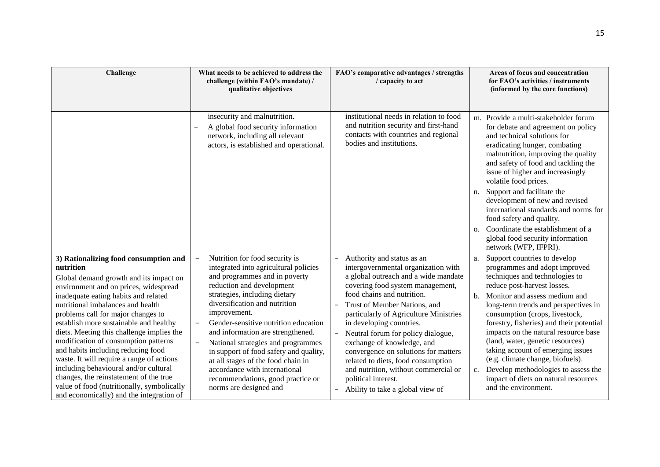| Challenge                                                                                                                                                                                                                                                                                                                                                                                                                                                                                                                                                     | What needs to be achieved to address the<br>challenge (within FAO's mandate) /<br>qualitative objectives                                                                                                                                                                                                                                                                                                                                                                                         | FAO's comparative advantages / strengths<br>/ capacity to act                                                                                                                                                                                                                                                                                                                                                                                                                                                                                | Areas of focus and concentration<br>for FAO's activities / instruments<br>(informed by the core functions)                                                                                                                                                                                                                                                                                                                                                                                                                                  |
|---------------------------------------------------------------------------------------------------------------------------------------------------------------------------------------------------------------------------------------------------------------------------------------------------------------------------------------------------------------------------------------------------------------------------------------------------------------------------------------------------------------------------------------------------------------|--------------------------------------------------------------------------------------------------------------------------------------------------------------------------------------------------------------------------------------------------------------------------------------------------------------------------------------------------------------------------------------------------------------------------------------------------------------------------------------------------|----------------------------------------------------------------------------------------------------------------------------------------------------------------------------------------------------------------------------------------------------------------------------------------------------------------------------------------------------------------------------------------------------------------------------------------------------------------------------------------------------------------------------------------------|---------------------------------------------------------------------------------------------------------------------------------------------------------------------------------------------------------------------------------------------------------------------------------------------------------------------------------------------------------------------------------------------------------------------------------------------------------------------------------------------------------------------------------------------|
|                                                                                                                                                                                                                                                                                                                                                                                                                                                                                                                                                               | insecurity and malnutrition.<br>A global food security information<br>network, including all relevant<br>actors, is established and operational.                                                                                                                                                                                                                                                                                                                                                 | institutional needs in relation to food<br>and nutrition security and first-hand<br>contacts with countries and regional<br>bodies and institutions.                                                                                                                                                                                                                                                                                                                                                                                         | m. Provide a multi-stakeholder forum<br>for debate and agreement on policy<br>and technical solutions for<br>eradicating hunger, combating<br>malnutrition, improving the quality<br>and safety of food and tackling the<br>issue of higher and increasingly<br>volatile food prices.                                                                                                                                                                                                                                                       |
|                                                                                                                                                                                                                                                                                                                                                                                                                                                                                                                                                               |                                                                                                                                                                                                                                                                                                                                                                                                                                                                                                  |                                                                                                                                                                                                                                                                                                                                                                                                                                                                                                                                              | Support and facilitate the<br>n.<br>development of new and revised<br>international standards and norms for<br>food safety and quality.                                                                                                                                                                                                                                                                                                                                                                                                     |
|                                                                                                                                                                                                                                                                                                                                                                                                                                                                                                                                                               |                                                                                                                                                                                                                                                                                                                                                                                                                                                                                                  |                                                                                                                                                                                                                                                                                                                                                                                                                                                                                                                                              | Coordinate the establishment of a<br>$\Omega$ .<br>global food security information<br>network (WFP, IFPRI).                                                                                                                                                                                                                                                                                                                                                                                                                                |
| 3) Rationalizing food consumption and<br>nutrition<br>Global demand growth and its impact on<br>environment and on prices, widespread<br>inadequate eating habits and related<br>nutritional imbalances and health<br>problems call for major changes to<br>establish more sustainable and healthy<br>diets. Meeting this challenge implies the<br>modification of consumption patterns<br>and habits including reducing food<br>waste. It will require a range of actions<br>including behavioural and/or cultural<br>changes, the reinstatement of the true | Nutrition for food security is<br>integrated into agricultural policies<br>and programmes and in poverty<br>reduction and development<br>strategies, including dietary<br>diversification and nutrition<br>improvement.<br>Gender-sensitive nutrition education<br>and information are strengthened.<br>National strategies and programmes<br>in support of food safety and quality,<br>at all stages of the food chain in<br>accordance with international<br>recommendations, good practice or | Authority and status as an<br>$\qquad \qquad -$<br>intergovernmental organization with<br>a global outreach and a wide mandate<br>covering food system management,<br>food chains and nutrition.<br>Trust of Member Nations, and<br>$\qquad \qquad -$<br>particularly of Agriculture Ministries<br>in developing countries.<br>Neutral forum for policy dialogue,<br>exchange of knowledge, and<br>convergence on solutions for matters<br>related to diets, food consumption<br>and nutrition, without commercial or<br>political interest. | Support countries to develop<br>a.<br>programmes and adopt improved<br>techniques and technologies to<br>reduce post-harvest losses.<br>Monitor and assess medium and<br>b.<br>long-term trends and perspectives in<br>consumption (crops, livestock,<br>forestry, fisheries) and their potential<br>impacts on the natural resource base<br>(land, water, genetic resources)<br>taking account of emerging issues<br>(e.g. climate change, biofuels).<br>Develop methodologies to assess the<br>c.<br>impact of diets on natural resources |
| value of food (nutritionally, symbolically<br>and economically) and the integration of                                                                                                                                                                                                                                                                                                                                                                                                                                                                        | norms are designed and                                                                                                                                                                                                                                                                                                                                                                                                                                                                           | Ability to take a global view of<br>$\overline{\phantom{0}}$                                                                                                                                                                                                                                                                                                                                                                                                                                                                                 | and the environment.                                                                                                                                                                                                                                                                                                                                                                                                                                                                                                                        |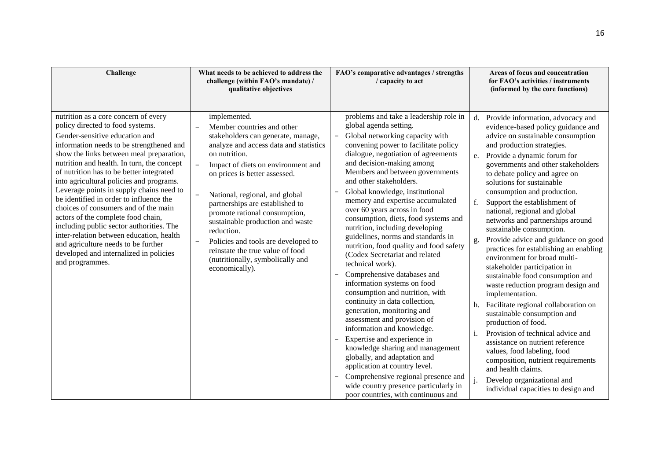| Challenge                                                                                                                                                                                                                                                                                                                                                                                                                                                                                                                                                                                                                                                                                                 | What needs to be achieved to address the<br>challenge (within FAO's mandate) /<br>qualitative objectives                                                                                                                                                                                                                                                                                                                                                                                                                                                                                                | FAO's comparative advantages / strengths<br>/ capacity to act                                                                                                                                                                                                                                                                                                                                                                                                                                                                                                                                                                                                                                                                                                                                                                                                                                                                                                                                                                                                                                                                             | Areas of focus and concentration<br>for FAO's activities / instruments<br>(informed by the core functions)                                                                                                                                                                                                                                                                                                                                                                                                                                                                                                                                                                                                                                                                                                                                                                                                                                                                                                                                                    |
|-----------------------------------------------------------------------------------------------------------------------------------------------------------------------------------------------------------------------------------------------------------------------------------------------------------------------------------------------------------------------------------------------------------------------------------------------------------------------------------------------------------------------------------------------------------------------------------------------------------------------------------------------------------------------------------------------------------|---------------------------------------------------------------------------------------------------------------------------------------------------------------------------------------------------------------------------------------------------------------------------------------------------------------------------------------------------------------------------------------------------------------------------------------------------------------------------------------------------------------------------------------------------------------------------------------------------------|-------------------------------------------------------------------------------------------------------------------------------------------------------------------------------------------------------------------------------------------------------------------------------------------------------------------------------------------------------------------------------------------------------------------------------------------------------------------------------------------------------------------------------------------------------------------------------------------------------------------------------------------------------------------------------------------------------------------------------------------------------------------------------------------------------------------------------------------------------------------------------------------------------------------------------------------------------------------------------------------------------------------------------------------------------------------------------------------------------------------------------------------|---------------------------------------------------------------------------------------------------------------------------------------------------------------------------------------------------------------------------------------------------------------------------------------------------------------------------------------------------------------------------------------------------------------------------------------------------------------------------------------------------------------------------------------------------------------------------------------------------------------------------------------------------------------------------------------------------------------------------------------------------------------------------------------------------------------------------------------------------------------------------------------------------------------------------------------------------------------------------------------------------------------------------------------------------------------|
| nutrition as a core concern of every<br>policy directed to food systems.<br>Gender-sensitive education and<br>information needs to be strengthened and<br>show the links between meal preparation,<br>nutrition and health. In turn, the concept<br>of nutrition has to be better integrated<br>into agricultural policies and programs.<br>Leverage points in supply chains need to<br>be identified in order to influence the<br>choices of consumers and of the main<br>actors of the complete food chain,<br>including public sector authorities. The<br>inter-relation between education, health<br>and agriculture needs to be further<br>developed and internalized in policies<br>and programmes. | implemented.<br>Member countries and other<br>$\overline{\phantom{0}}$<br>stakeholders can generate, manage,<br>analyze and access data and statistics<br>on nutrition.<br>Impact of diets on environment and<br>$\overline{a}$<br>on prices is better assessed.<br>National, regional, and global<br>$\overline{\phantom{a}}$<br>partnerships are established to<br>promote rational consumption,<br>sustainable production and waste<br>reduction.<br>Policies and tools are developed to<br>$\overline{a}$<br>reinstate the true value of food<br>(nutritionally, symbolically and<br>economically). | problems and take a leadership role in<br>global agenda setting.<br>Global networking capacity with<br>$\qquad \qquad -$<br>convening power to facilitate policy<br>dialogue, negotiation of agreements<br>and decision-making among<br>Members and between governments<br>and other stakeholders.<br>Global knowledge, institutional<br>memory and expertise accumulated<br>over 60 years across in food<br>consumption, diets, food systems and<br>nutrition, including developing<br>guidelines, norms and standards in<br>nutrition, food quality and food safety<br>(Codex Secretariat and related<br>technical work).<br>Comprehensive databases and<br>information systems on food<br>consumption and nutrition, with<br>continuity in data collection,<br>generation, monitoring and<br>assessment and provision of<br>information and knowledge.<br>Expertise and experience in<br>$\qquad \qquad -$<br>knowledge sharing and management<br>globally, and adaptation and<br>application at country level.<br>Comprehensive regional presence and<br>wide country presence particularly in<br>poor countries, with continuous and | d. Provide information, advocacy and<br>evidence-based policy guidance and<br>advice on sustainable consumption<br>and production strategies.<br>Provide a dynamic forum for<br>e.<br>governments and other stakeholders<br>to debate policy and agree on<br>solutions for sustainable<br>consumption and production.<br>Support the establishment of<br>f.<br>national, regional and global<br>networks and partnerships around<br>sustainable consumption.<br>Provide advice and guidance on good<br>g.<br>practices for establishing an enabling<br>environment for broad multi-<br>stakeholder participation in<br>sustainable food consumption and<br>waste reduction program design and<br>implementation.<br>Facilitate regional collaboration on<br>h.<br>sustainable consumption and<br>production of food.<br>Provision of technical advice and<br>assistance on nutrient reference<br>values, food labeling, food<br>composition, nutrient requirements<br>and health claims.<br>Develop organizational and<br>individual capacities to design and |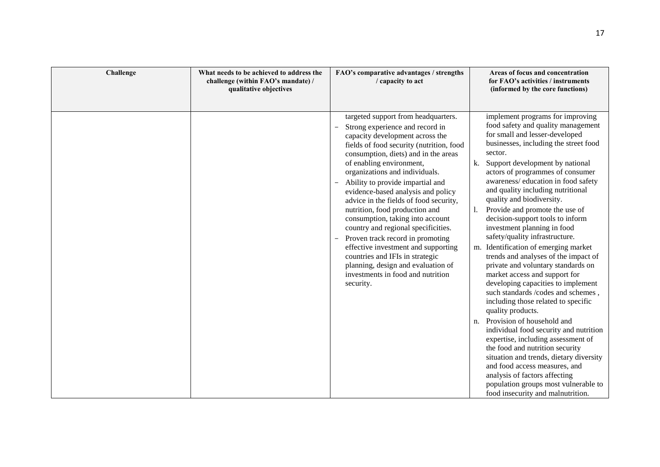| Challenge | What needs to be achieved to address the<br>challenge (within FAO's mandate) /<br>qualitative objectives | FAO's comparative advantages / strengths<br>/ capacity to act                                                                                                                                                                                                                                                                                                                                                                                                                                                                                                                                                                                                                                                                         | Areas of focus and concentration<br>for FAO's activities / instruments<br>(informed by the core functions)                                                                                                                                                                                                                                                                                                                                                                                                                                                                                                                                                                                                                                                                                                                                                                                                                                                                                                                                                                                                                               |
|-----------|----------------------------------------------------------------------------------------------------------|---------------------------------------------------------------------------------------------------------------------------------------------------------------------------------------------------------------------------------------------------------------------------------------------------------------------------------------------------------------------------------------------------------------------------------------------------------------------------------------------------------------------------------------------------------------------------------------------------------------------------------------------------------------------------------------------------------------------------------------|------------------------------------------------------------------------------------------------------------------------------------------------------------------------------------------------------------------------------------------------------------------------------------------------------------------------------------------------------------------------------------------------------------------------------------------------------------------------------------------------------------------------------------------------------------------------------------------------------------------------------------------------------------------------------------------------------------------------------------------------------------------------------------------------------------------------------------------------------------------------------------------------------------------------------------------------------------------------------------------------------------------------------------------------------------------------------------------------------------------------------------------|
|           |                                                                                                          | targeted support from headquarters.<br>Strong experience and record in<br>capacity development across the<br>fields of food security (nutrition, food<br>consumption, diets) and in the areas<br>of enabling environment,<br>organizations and individuals.<br>Ability to provide impartial and<br>$\overline{\phantom{a}}$<br>evidence-based analysis and policy<br>advice in the fields of food security,<br>nutrition, food production and<br>consumption, taking into account<br>country and regional specificities.<br>Proven track record in promoting<br>$-$<br>effective investment and supporting<br>countries and IFIs in strategic<br>planning, design and evaluation of<br>investments in food and nutrition<br>security. | implement programs for improving<br>food safety and quality management<br>for small and lesser-developed<br>businesses, including the street food<br>sector.<br>Support development by national<br>k.<br>actors of programmes of consumer<br>awareness/education in food safety<br>and quality including nutritional<br>quality and biodiversity.<br>Provide and promote the use of<br>decision-support tools to inform<br>investment planning in food<br>safety/quality infrastructure.<br>m. Identification of emerging market<br>trends and analyses of the impact of<br>private and voluntary standards on<br>market access and support for<br>developing capacities to implement<br>such standards /codes and schemes,<br>including those related to specific<br>quality products.<br>Provision of household and<br>n.<br>individual food security and nutrition<br>expertise, including assessment of<br>the food and nutrition security<br>situation and trends, dietary diversity<br>and food access measures, and<br>analysis of factors affecting<br>population groups most vulnerable to<br>food insecurity and malnutrition. |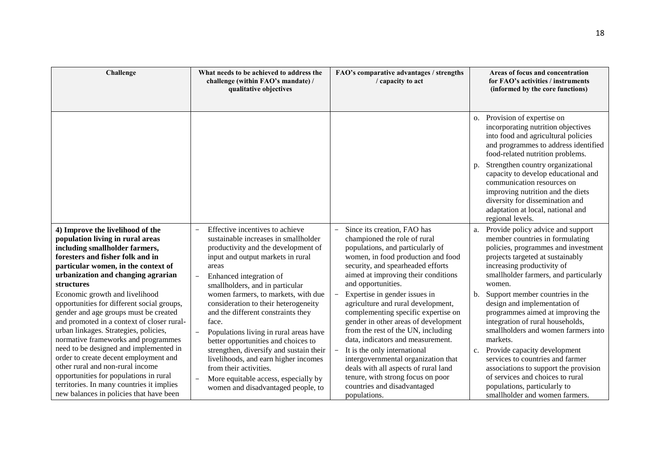| Challenge                                                                                                                                                                                                                                             | What needs to be achieved to address the<br>challenge (within FAO's mandate) /<br>qualitative objectives                                                                                                                                     | FAO's comparative advantages / strengths<br>/ capacity to act                                                                                                                                                                                             | Areas of focus and concentration<br>for FAO's activities / instruments<br>(informed by the core functions)                                                                                                                                    |
|-------------------------------------------------------------------------------------------------------------------------------------------------------------------------------------------------------------------------------------------------------|----------------------------------------------------------------------------------------------------------------------------------------------------------------------------------------------------------------------------------------------|-----------------------------------------------------------------------------------------------------------------------------------------------------------------------------------------------------------------------------------------------------------|-----------------------------------------------------------------------------------------------------------------------------------------------------------------------------------------------------------------------------------------------|
|                                                                                                                                                                                                                                                       |                                                                                                                                                                                                                                              |                                                                                                                                                                                                                                                           | o. Provision of expertise on<br>incorporating nutrition objectives<br>into food and agricultural policies<br>and programmes to address identified<br>food-related nutrition problems.                                                         |
|                                                                                                                                                                                                                                                       |                                                                                                                                                                                                                                              |                                                                                                                                                                                                                                                           | Strengthen country organizational<br>p.<br>capacity to develop educational and<br>communication resources on<br>improving nutrition and the diets<br>diversity for dissemination and<br>adaptation at local, national and<br>regional levels. |
| 4) Improve the livelihood of the<br>population living in rural areas<br>including smallholder farmers,<br>foresters and fisher folk and in<br>particular women, in the context of<br>urbanization and changing agrarian<br>structures                 | Effective incentives to achieve<br>sustainable increases in smallholder<br>productivity and the development of<br>input and output markets in rural<br>areas<br>Enhanced integration of<br>$\overline{a}$<br>smallholders, and in particular | Since its creation, FAO has<br>championed the role of rural<br>populations, and particularly of<br>women, in food production and food<br>security, and spearheaded efforts<br>aimed at improving their conditions<br>and opportunities.                   | a. Provide policy advice and support<br>member countries in formulating<br>policies, programmes and investment<br>projects targeted at sustainably<br>increasing productivity of<br>smallholder farmers, and particularly<br>women.           |
| Economic growth and livelihood<br>opportunities for different social groups,<br>gender and age groups must be created<br>and promoted in a context of closer rural-<br>urban linkages. Strategies, policies,<br>normative frameworks and programmes   | women farmers, to markets, with due<br>consideration to their heterogeneity<br>and the different constraints they<br>face.<br>Populations living in rural areas have<br>better opportunities and choices to                                  | Expertise in gender issues in<br>$\overline{\phantom{a}}$<br>agriculture and rural development,<br>complementing specific expertise on<br>gender in other areas of development<br>from the rest of the UN, including<br>data, indicators and measurement. | Support member countries in the<br>b.<br>design and implementation of<br>programmes aimed at improving the<br>integration of rural households,<br>smallholders and women farmers into<br>markets.                                             |
| need to be designed and implemented in<br>order to create decent employment and<br>other rural and non-rural income<br>opportunities for populations in rural<br>territories. In many countries it implies<br>new balances in policies that have been | strengthen, diversify and sustain their<br>livelihoods, and earn higher incomes<br>from their activities.<br>More equitable access, especially by<br>women and disadvantaged people, to                                                      | It is the only international<br>$\overline{\phantom{a}}$<br>intergovernmental organization that<br>deals with all aspects of rural land<br>tenure, with strong focus on poor<br>countries and disadvantaged<br>populations.                               | c. Provide capacity development<br>services to countries and farmer<br>associations to support the provision<br>of services and choices to rural<br>populations, particularly to<br>smallholder and women farmers.                            |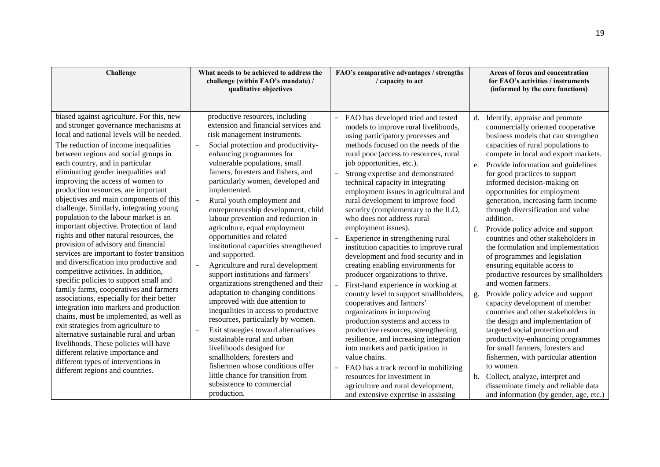| Challenge                                                                                                                                                                                                                                                                                                                                                                                                                                                                                                                                                                                                                                                                                                                                                                                                                                                                                                                                                                                                                                                                                                                                                                                                                           | What needs to be achieved to address the<br>challenge (within FAO's mandate) /<br>qualitative objectives                                                                                                                                                                                                                                                                                                                                                                                                                                                                                                                                                                                                                                                                                                                                                                                                                                                                                                                                                                                 | FAO's comparative advantages / strengths<br>/ capacity to act                                                                                                                                                                                                                                                                                                                                                                                                                                                                                                                                                                                                                                                                                                                                                                                                                                                                                                                                                                                                                                                                                                                                                                                                                    | Areas of focus and concentration<br>for FAO's activities / instruments<br>(informed by the core functions)                                                                                                                                                                                                                                                                                                                                                                                                                                                                                                                                                                                                                                                                                                                                                                                                                                                                                                                                                                                                                          |
|-------------------------------------------------------------------------------------------------------------------------------------------------------------------------------------------------------------------------------------------------------------------------------------------------------------------------------------------------------------------------------------------------------------------------------------------------------------------------------------------------------------------------------------------------------------------------------------------------------------------------------------------------------------------------------------------------------------------------------------------------------------------------------------------------------------------------------------------------------------------------------------------------------------------------------------------------------------------------------------------------------------------------------------------------------------------------------------------------------------------------------------------------------------------------------------------------------------------------------------|------------------------------------------------------------------------------------------------------------------------------------------------------------------------------------------------------------------------------------------------------------------------------------------------------------------------------------------------------------------------------------------------------------------------------------------------------------------------------------------------------------------------------------------------------------------------------------------------------------------------------------------------------------------------------------------------------------------------------------------------------------------------------------------------------------------------------------------------------------------------------------------------------------------------------------------------------------------------------------------------------------------------------------------------------------------------------------------|----------------------------------------------------------------------------------------------------------------------------------------------------------------------------------------------------------------------------------------------------------------------------------------------------------------------------------------------------------------------------------------------------------------------------------------------------------------------------------------------------------------------------------------------------------------------------------------------------------------------------------------------------------------------------------------------------------------------------------------------------------------------------------------------------------------------------------------------------------------------------------------------------------------------------------------------------------------------------------------------------------------------------------------------------------------------------------------------------------------------------------------------------------------------------------------------------------------------------------------------------------------------------------|-------------------------------------------------------------------------------------------------------------------------------------------------------------------------------------------------------------------------------------------------------------------------------------------------------------------------------------------------------------------------------------------------------------------------------------------------------------------------------------------------------------------------------------------------------------------------------------------------------------------------------------------------------------------------------------------------------------------------------------------------------------------------------------------------------------------------------------------------------------------------------------------------------------------------------------------------------------------------------------------------------------------------------------------------------------------------------------------------------------------------------------|
| biased against agriculture. For this, new<br>and stronger governance mechanisms at<br>local and national levels will be needed.<br>The reduction of income inequalities<br>between regions and social groups in<br>each country, and in particular<br>eliminating gender inequalities and<br>improving the access of women to<br>production resources, are important<br>objectives and main components of this<br>challenge. Similarly, integrating young<br>population to the labour market is an<br>important objective. Protection of land<br>rights and other natural resources, the<br>provision of advisory and financial<br>services are important to foster transition<br>and diversification into productive and<br>competitive activities. In addition,<br>specific policies to support small and<br>family farms, cooperatives and farmers<br>associations, especially for their better<br>integration into markets and production<br>chains, must be implemented, as well as<br>exit strategies from agriculture to<br>alternative sustainable rural and urban<br>livelihoods. These policies will have<br>different relative importance and<br>different types of interventions in<br>different regions and countries. | productive resources, including<br>extension and financial services and<br>risk management instruments.<br>Social protection and productivity-<br>enhancing programmes for<br>vulnerable populations, small<br>famers, foresters and fishers, and<br>particularly women, developed and<br>implemented.<br>$\overline{a}$<br>Rural youth employment and<br>entrepreneurship development, child<br>labour prevention and reduction in<br>agriculture, equal employment<br>opportunities and related<br>institutional capacities strengthened<br>and supported.<br>Agriculture and rural development<br>support institutions and farmers'<br>organizations strengthened and their<br>adaptation to changing conditions<br>improved with due attention to<br>inequalities in access to productive<br>resources, particularly by women.<br>Exit strategies toward alternatives<br>sustainable rural and urban<br>livelihoods designed for<br>smallholders, foresters and<br>fishermen whose conditions offer<br>little chance for transition from<br>subsistence to commercial<br>production. | FAO has developed tried and tested<br>$\overline{\phantom{m}}$<br>models to improve rural livelihoods,<br>using participatory processes and<br>methods focused on the needs of the<br>rural poor (access to resources, rural<br>job opportunities, etc.).<br>Strong expertise and demonstrated<br>$\overline{\phantom{a}}$<br>technical capacity in integrating<br>employment issues in agricultural and<br>rural development to improve food<br>security (complementary to the ILO,<br>who does not address rural<br>employment issues).<br>Experience in strengthening rural<br>$\overline{\phantom{m}}$<br>institution capacities to improve rural<br>development and food security and in<br>creating enabling environments for<br>producer organizations to thrive.<br>First-hand experience in working at<br>$\overline{\phantom{0}}$<br>country level to support smallholders,<br>cooperatives and farmers'<br>organizations in improving<br>production systems and access to<br>productive resources, strengthening<br>resilience, and increasing integration<br>into markets and participation in<br>value chains.<br>FAO has a track record in mobilizing<br>resources for investment in<br>agriculture and rural development,<br>and extensive expertise in assisting | d. Identify, appraise and promote<br>commercially oriented cooperative<br>business models that can strengthen<br>capacities of rural populations to<br>compete in local and export markets.<br>e. Provide information and guidelines<br>for good practices to support<br>informed decision-making on<br>opportunities for employment<br>generation, increasing farm income<br>through diversification and value<br>addition.<br>Provide policy advice and support<br>f.<br>countries and other stakeholders in<br>the formulation and implementation<br>of programmes and legislation<br>ensuring equitable access to<br>productive resources by smallholders<br>and women farmers.<br>Provide policy advice and support<br>g.<br>capacity development of member<br>countries and other stakeholders in<br>the design and implementation of<br>targeted social protection and<br>productivity-enhancing programmes<br>for small farmers, foresters and<br>fishermen, with particular attention<br>to women.<br>h. Collect, analyze, interpret and<br>disseminate timely and reliable data<br>and information (by gender, age, etc.) |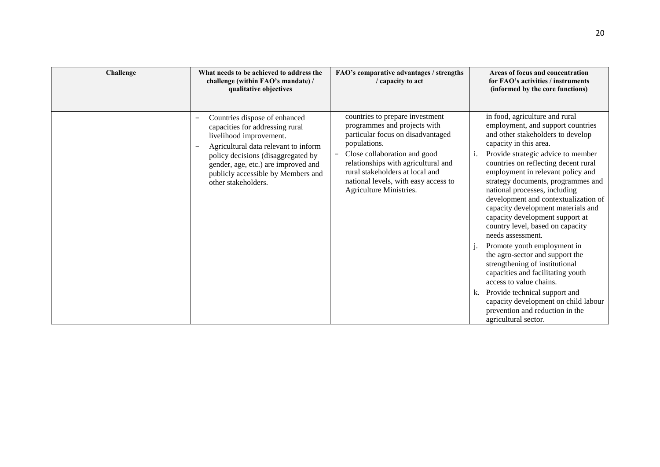| Challenge | What needs to be achieved to address the<br>challenge (within FAO's mandate) /<br>qualitative objectives                                                                                                                                                                      | FAO's comparative advantages / strengths<br>/ capacity to act                                                                                                                                                                                                                                                                 | Areas of focus and concentration<br>for FAO's activities / instruments<br>(informed by the core functions)                                                                                                                                                                                                                                                                                                                                                                                                                                                                                                                                                                                                                                                                                                                 |
|-----------|-------------------------------------------------------------------------------------------------------------------------------------------------------------------------------------------------------------------------------------------------------------------------------|-------------------------------------------------------------------------------------------------------------------------------------------------------------------------------------------------------------------------------------------------------------------------------------------------------------------------------|----------------------------------------------------------------------------------------------------------------------------------------------------------------------------------------------------------------------------------------------------------------------------------------------------------------------------------------------------------------------------------------------------------------------------------------------------------------------------------------------------------------------------------------------------------------------------------------------------------------------------------------------------------------------------------------------------------------------------------------------------------------------------------------------------------------------------|
|           | Countries dispose of enhanced<br>capacities for addressing rural<br>livelihood improvement.<br>Agricultural data relevant to inform<br>policy decisions (disaggregated by<br>gender, age, etc.) are improved and<br>publicly accessible by Members and<br>other stakeholders. | countries to prepare investment<br>programmes and projects with<br>particular focus on disadvantaged<br>populations.<br>Close collaboration and good<br>$\overline{\phantom{0}}$<br>relationships with agricultural and<br>rural stakeholders at local and<br>national levels, with easy access to<br>Agriculture Ministries. | in food, agriculture and rural<br>employment, and support countries<br>and other stakeholders to develop<br>capacity in this area.<br>Provide strategic advice to member<br>1.<br>countries on reflecting decent rural<br>employment in relevant policy and<br>strategy documents, programmes and<br>national processes, including<br>development and contextualization of<br>capacity development materials and<br>capacity development support at<br>country level, based on capacity<br>needs assessment.<br>Promote youth employment in<br>the agro-sector and support the<br>strengthening of institutional<br>capacities and facilitating youth<br>access to value chains.<br>Provide technical support and<br>k.<br>capacity development on child labour<br>prevention and reduction in the<br>agricultural sector. |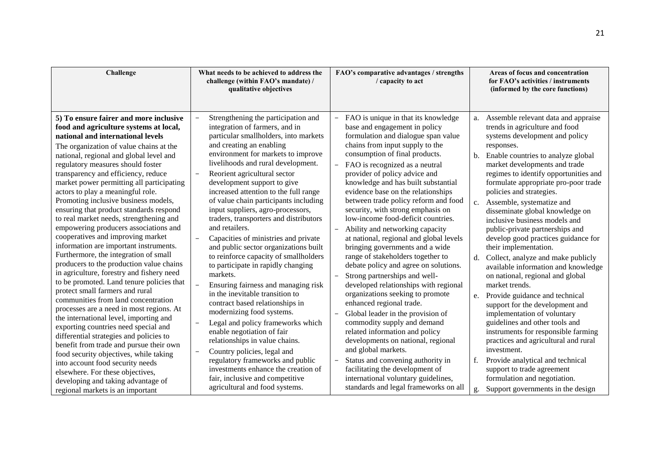| Challenge                                                                                                                                                                                                                                                                                                                                                                                                                                                                                                                                                                                                                                                                                                                                                                                                                                                                                                                                                                                                                                                                                                                                                                                                                                                                                                | What needs to be achieved to address the<br>challenge (within FAO's mandate) /<br>qualitative objectives                                                                                                                                                                                                                                                                                                                                                                                                                                                                                                                                                                                                                                                                                                                                                                                                                                                                                                                                                                                                       | FAO's comparative advantages / strengths<br>/ capacity to act                                                                                                                                                                                                                                                                                                                                                                                                                                                                                                                                                                                                                                                                                                                                                                                                                                                                                                                                                                                                                                                                                                                                                                           | Areas of focus and concentration<br>for FAO's activities / instruments<br>(informed by the core functions)                                                                                                                                                                                                                                                                                                                                                                                                                                                                                                                                                                                                                                                                                                                                                                                                                                                                                                                                                            |
|----------------------------------------------------------------------------------------------------------------------------------------------------------------------------------------------------------------------------------------------------------------------------------------------------------------------------------------------------------------------------------------------------------------------------------------------------------------------------------------------------------------------------------------------------------------------------------------------------------------------------------------------------------------------------------------------------------------------------------------------------------------------------------------------------------------------------------------------------------------------------------------------------------------------------------------------------------------------------------------------------------------------------------------------------------------------------------------------------------------------------------------------------------------------------------------------------------------------------------------------------------------------------------------------------------|----------------------------------------------------------------------------------------------------------------------------------------------------------------------------------------------------------------------------------------------------------------------------------------------------------------------------------------------------------------------------------------------------------------------------------------------------------------------------------------------------------------------------------------------------------------------------------------------------------------------------------------------------------------------------------------------------------------------------------------------------------------------------------------------------------------------------------------------------------------------------------------------------------------------------------------------------------------------------------------------------------------------------------------------------------------------------------------------------------------|-----------------------------------------------------------------------------------------------------------------------------------------------------------------------------------------------------------------------------------------------------------------------------------------------------------------------------------------------------------------------------------------------------------------------------------------------------------------------------------------------------------------------------------------------------------------------------------------------------------------------------------------------------------------------------------------------------------------------------------------------------------------------------------------------------------------------------------------------------------------------------------------------------------------------------------------------------------------------------------------------------------------------------------------------------------------------------------------------------------------------------------------------------------------------------------------------------------------------------------------|-----------------------------------------------------------------------------------------------------------------------------------------------------------------------------------------------------------------------------------------------------------------------------------------------------------------------------------------------------------------------------------------------------------------------------------------------------------------------------------------------------------------------------------------------------------------------------------------------------------------------------------------------------------------------------------------------------------------------------------------------------------------------------------------------------------------------------------------------------------------------------------------------------------------------------------------------------------------------------------------------------------------------------------------------------------------------|
| 5) To ensure fairer and more inclusive<br>food and agriculture systems at local,<br>national and international levels<br>The organization of value chains at the<br>national, regional and global level and<br>regulatory measures should foster<br>transparency and efficiency, reduce<br>market power permitting all participating<br>actors to play a meaningful role.<br>Promoting inclusive business models,<br>ensuring that product standards respond<br>to real market needs, strengthening and<br>empowering producers associations and<br>cooperatives and improving market<br>information are important instruments.<br>Furthermore, the integration of small<br>producers to the production value chains<br>in agriculture, forestry and fishery need<br>to be promoted. Land tenure policies that<br>protect small farmers and rural<br>communities from land concentration<br>processes are a need in most regions. At<br>the international level, importing and<br>exporting countries need special and<br>differential strategies and policies to<br>benefit from trade and pursue their own<br>food security objectives, while taking<br>into account food security needs<br>elsewhere. For these objectives,<br>developing and taking advantage of<br>regional markets is an important | Strengthening the participation and<br>integration of farmers, and in<br>particular smallholders, into markets<br>and creating an enabling<br>environment for markets to improve<br>livelihoods and rural development.<br>Reorient agricultural sector<br>development support to give<br>increased attention to the full range<br>of value chain participants including<br>input suppliers, agro-processors,<br>traders, transporters and distributors<br>and retailers.<br>Capacities of ministries and private<br>$\overline{\phantom{0}}$<br>and public sector organizations built<br>to reinforce capacity of smallholders<br>to participate in rapidly changing<br>markets.<br>Ensuring fairness and managing risk<br>in the inevitable transition to<br>contract based relationships in<br>modernizing food systems.<br>Legal and policy frameworks which<br>enable negotiation of fair<br>relationships in value chains.<br>Country policies, legal and<br>regulatory frameworks and public<br>investments enhance the creation of<br>fair, inclusive and competitive<br>agricultural and food systems. | FAO is unique in that its knowledge<br>$\overline{\phantom{0}}$<br>base and engagement in policy<br>formulation and dialogue span value<br>chains from input supply to the<br>consumption of final products.<br>FAO is recognized as a neutral<br>$\overline{\phantom{0}}$<br>provider of policy advice and<br>knowledge and has built substantial<br>evidence base on the relationships<br>between trade policy reform and food<br>security, with strong emphasis on<br>low-income food-deficit countries.<br>Ability and networking capacity<br>$\overline{\phantom{0}}$<br>at national, regional and global levels<br>bringing governments and a wide<br>range of stakeholders together to<br>debate policy and agree on solutions.<br>Strong partnerships and well-<br>developed relationships with regional<br>organizations seeking to promote<br>enhanced regional trade.<br>Global leader in the provision of<br>$\overline{\phantom{0}}$<br>commodity supply and demand<br>related information and policy<br>developments on national, regional<br>and global markets.<br>Status and convening authority in<br>facilitating the development of<br>international voluntary guidelines,<br>standards and legal frameworks on all | Assemble relevant data and appraise<br>a.<br>trends in agriculture and food<br>systems development and policy<br>responses.<br>Enable countries to analyze global<br>b.<br>market developments and trade<br>regimes to identify opportunities and<br>formulate appropriate pro-poor trade<br>policies and strategies.<br>Assemble, systematize and<br>c.<br>disseminate global knowledge on<br>inclusive business models and<br>public-private partnerships and<br>develop good practices guidance for<br>their implementation.<br>Collect, analyze and make publicly<br>d.<br>available information and knowledge<br>on national, regional and global<br>market trends.<br>Provide guidance and technical<br>e.<br>support for the development and<br>implementation of voluntary<br>guidelines and other tools and<br>instruments for responsible farming<br>practices and agricultural and rural<br>investment.<br>Provide analytical and technical<br>f.<br>support to trade agreement<br>formulation and negotiation.<br>Support governments in the design<br>g. |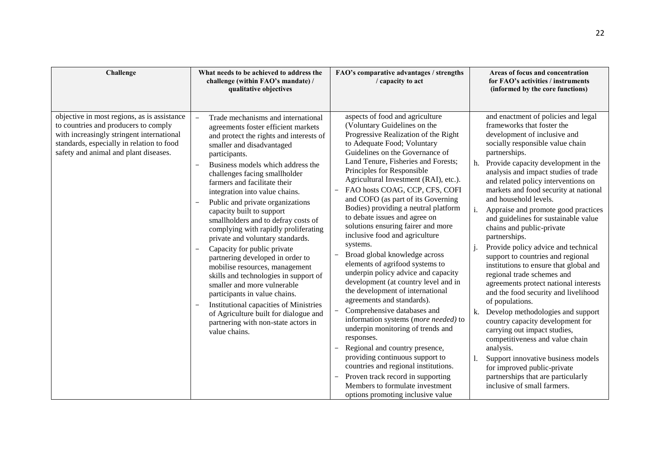| Challenge                                                                                                                                                                                                              | What needs to be achieved to address the<br>challenge (within FAO's mandate) /                                                                                                                                                                                                                                                                                                                                                                                                                                                                                                                                                                                                                                                                                                                                                                                                                                                            | FAO's comparative advantages / strengths<br>/ capacity to act                                                                                                                                                                                                                                                                                                                                                                                                                                                                                                                                                                                                                                                                                                                                                                                                                                                                                                                                                                                                                                                     | Areas of focus and concentration<br>for FAO's activities / instruments                                                                                                                                                                                                                                                                                                                                                                                                                                                                                                                                                                                                                                                                                                                                                                                                                                                                                                                                                                                     |
|------------------------------------------------------------------------------------------------------------------------------------------------------------------------------------------------------------------------|-------------------------------------------------------------------------------------------------------------------------------------------------------------------------------------------------------------------------------------------------------------------------------------------------------------------------------------------------------------------------------------------------------------------------------------------------------------------------------------------------------------------------------------------------------------------------------------------------------------------------------------------------------------------------------------------------------------------------------------------------------------------------------------------------------------------------------------------------------------------------------------------------------------------------------------------|-------------------------------------------------------------------------------------------------------------------------------------------------------------------------------------------------------------------------------------------------------------------------------------------------------------------------------------------------------------------------------------------------------------------------------------------------------------------------------------------------------------------------------------------------------------------------------------------------------------------------------------------------------------------------------------------------------------------------------------------------------------------------------------------------------------------------------------------------------------------------------------------------------------------------------------------------------------------------------------------------------------------------------------------------------------------------------------------------------------------|------------------------------------------------------------------------------------------------------------------------------------------------------------------------------------------------------------------------------------------------------------------------------------------------------------------------------------------------------------------------------------------------------------------------------------------------------------------------------------------------------------------------------------------------------------------------------------------------------------------------------------------------------------------------------------------------------------------------------------------------------------------------------------------------------------------------------------------------------------------------------------------------------------------------------------------------------------------------------------------------------------------------------------------------------------|
| objective in most regions, as is assistance<br>to countries and producers to comply<br>with increasingly stringent international<br>standards, especially in relation to food<br>safety and animal and plant diseases. | qualitative objectives<br>Trade mechanisms and international<br>$\overline{\phantom{0}}$<br>agreements foster efficient markets<br>and protect the rights and interests of<br>smaller and disadvantaged<br>participants.<br>Business models which address the<br>$\overline{\phantom{a}}$<br>challenges facing smallholder<br>farmers and facilitate their<br>integration into value chains.<br>Public and private organizations<br>capacity built to support<br>smallholders and to defray costs of<br>complying with rapidly proliferating<br>private and voluntary standards.<br>Capacity for public private<br>partnering developed in order to<br>mobilise resources, management<br>skills and technologies in support of<br>smaller and more vulnerable<br>participants in value chains.<br>Institutional capacities of Ministries<br>of Agriculture built for dialogue and<br>partnering with non-state actors in<br>value chains. | aspects of food and agriculture<br>(Voluntary Guidelines on the<br>Progressive Realization of the Right<br>to Adequate Food; Voluntary<br>Guidelines on the Governance of<br>Land Tenure, Fisheries and Forests;<br>Principles for Responsible<br>Agricultural Investment (RAI), etc.).<br>FAO hosts COAG, CCP, CFS, COFI<br>and COFO (as part of its Governing<br>Bodies) providing a neutral platform<br>to debate issues and agree on<br>solutions ensuring fairer and more<br>inclusive food and agriculture<br>systems.<br>Broad global knowledge across<br>$\overline{\phantom{m}}$<br>elements of agrifood systems to<br>underpin policy advice and capacity<br>development (at country level and in<br>the development of international<br>agreements and standards).<br>$\overline{\phantom{a}}$<br>Comprehensive databases and<br>information systems (more needed) to<br>underpin monitoring of trends and<br>responses.<br>Regional and country presence,<br>$\overline{\phantom{a}}$<br>providing continuous support to<br>countries and regional institutions.<br>Proven track record in supporting | (informed by the core functions)<br>and enactment of policies and legal<br>frameworks that foster the<br>development of inclusive and<br>socially responsible value chain<br>partnerships.<br>Provide capacity development in the<br>h.<br>analysis and impact studies of trade<br>and related policy interventions on<br>markets and food security at national<br>and household levels.<br>Appraise and promote good practices<br>i.<br>and guidelines for sustainable value<br>chains and public-private<br>partnerships.<br>Provide policy advice and technical<br>support to countries and regional<br>institutions to ensure that global and<br>regional trade schemes and<br>agreements protect national interests<br>and the food security and livelihood<br>of populations.<br>k. Develop methodologies and support<br>country capacity development for<br>carrying out impact studies,<br>competitiveness and value chain<br>analysis.<br>Support innovative business models<br>for improved public-private<br>partnerships that are particularly |
|                                                                                                                                                                                                                        |                                                                                                                                                                                                                                                                                                                                                                                                                                                                                                                                                                                                                                                                                                                                                                                                                                                                                                                                           | Members to formulate investment<br>options promoting inclusive value                                                                                                                                                                                                                                                                                                                                                                                                                                                                                                                                                                                                                                                                                                                                                                                                                                                                                                                                                                                                                                              | inclusive of small farmers.                                                                                                                                                                                                                                                                                                                                                                                                                                                                                                                                                                                                                                                                                                                                                                                                                                                                                                                                                                                                                                |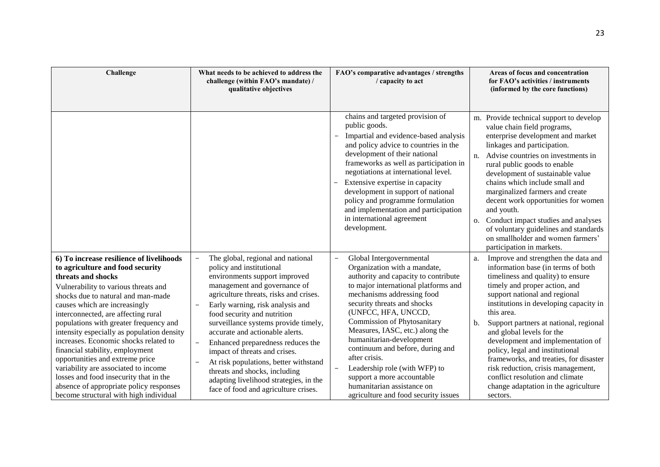| Challenge                                                                                                                                                                                                                                                                                                                                                                                                                                                                                                                                                                                                                              | What needs to be achieved to address the<br>challenge (within FAO's mandate) /<br>qualitative objectives                                                                                                                                                                                                                                                                                                                                                                                                                                                 | FAO's comparative advantages / strengths<br>/ capacity to act                                                                                                                                                                                                                                                                                                                                                                                                                                                                                    | Areas of focus and concentration<br>for FAO's activities / instruments<br>(informed by the core functions)                                                                                                                                                                                                                                                                                                                                                                                                                                                                 |
|----------------------------------------------------------------------------------------------------------------------------------------------------------------------------------------------------------------------------------------------------------------------------------------------------------------------------------------------------------------------------------------------------------------------------------------------------------------------------------------------------------------------------------------------------------------------------------------------------------------------------------------|----------------------------------------------------------------------------------------------------------------------------------------------------------------------------------------------------------------------------------------------------------------------------------------------------------------------------------------------------------------------------------------------------------------------------------------------------------------------------------------------------------------------------------------------------------|--------------------------------------------------------------------------------------------------------------------------------------------------------------------------------------------------------------------------------------------------------------------------------------------------------------------------------------------------------------------------------------------------------------------------------------------------------------------------------------------------------------------------------------------------|----------------------------------------------------------------------------------------------------------------------------------------------------------------------------------------------------------------------------------------------------------------------------------------------------------------------------------------------------------------------------------------------------------------------------------------------------------------------------------------------------------------------------------------------------------------------------|
|                                                                                                                                                                                                                                                                                                                                                                                                                                                                                                                                                                                                                                        |                                                                                                                                                                                                                                                                                                                                                                                                                                                                                                                                                          | chains and targeted provision of<br>public goods.<br>Impartial and evidence-based analysis<br>and policy advice to countries in the<br>development of their national<br>frameworks as well as participation in<br>negotiations at international level.<br>Extensive expertise in capacity<br>development in support of national<br>policy and programme formulation<br>and implementation and participation<br>in international agreement<br>development.                                                                                        | m. Provide technical support to develop<br>value chain field programs,<br>enterprise development and market<br>linkages and participation.<br>Advise countries on investments in<br>n.<br>rural public goods to enable<br>development of sustainable value<br>chains which include small and<br>marginalized farmers and create<br>decent work opportunities for women<br>and youth.<br>Conduct impact studies and analyses<br>O <sub>1</sub><br>of voluntary guidelines and standards<br>on smallholder and women farmers'<br>participation in markets.                   |
| 6) To increase resilience of livelihoods<br>to agriculture and food security<br>threats and shocks<br>Vulnerability to various threats and<br>shocks due to natural and man-made<br>causes which are increasingly<br>interconnected, are affecting rural<br>populations with greater frequency and<br>intensity especially as population density<br>increases. Economic shocks related to<br>financial stability, employment<br>opportunities and extreme price<br>variability are associated to income<br>losses and food insecurity that in the<br>absence of appropriate policy responses<br>become structural with high individual | The global, regional and national<br>policy and institutional<br>environments support improved<br>management and governance of<br>agriculture threats, risks and crises.<br>Early warning, risk analysis and<br>food security and nutrition<br>surveillance systems provide timely,<br>accurate and actionable alerts.<br>Enhanced preparedness reduces the<br>impact of threats and crises.<br>At risk populations, better withstand<br>threats and shocks, including<br>adapting livelihood strategies, in the<br>face of food and agriculture crises. | Global Intergovernmental<br>$\qquad \qquad -$<br>Organization with a mandate,<br>authority and capacity to contribute<br>to major international platforms and<br>mechanisms addressing food<br>security threats and shocks<br>(UNFCC, HFA, UNCCD,<br><b>Commission of Phytosanitary</b><br>Measures, IASC, etc.) along the<br>humanitarian-development<br>continuum and before, during and<br>after crisis.<br>Leadership role (with WFP) to<br>support a more accountable<br>humanitarian assistance on<br>agriculture and food security issues | Improve and strengthen the data and<br>a.<br>information base (in terms of both<br>timeliness and quality) to ensure<br>timely and proper action, and<br>support national and regional<br>institutions in developing capacity in<br>this area.<br>b.<br>Support partners at national, regional<br>and global levels for the<br>development and implementation of<br>policy, legal and institutional<br>frameworks, and treaties, for disaster<br>risk reduction, crisis management,<br>conflict resolution and climate<br>change adaptation in the agriculture<br>sectors. |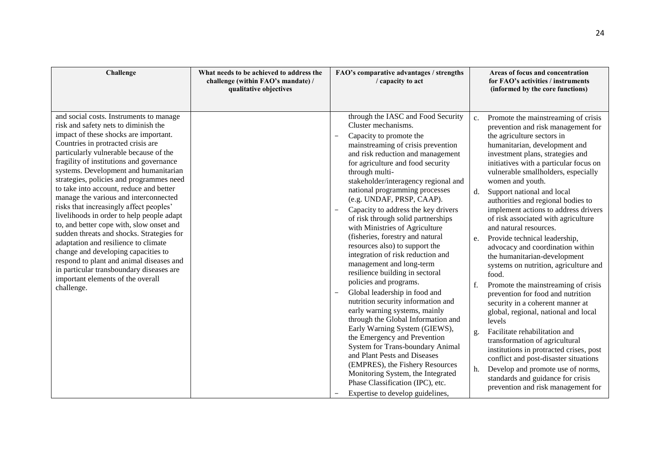| Challenge                                                                                                                                                                                                                                                                                                                                                                                                                                                                                                                                                                                                                                                                                                                                                                                                                                | What needs to be achieved to address the<br>challenge (within FAO's mandate) /<br>qualitative objectives | FAO's comparative advantages / strengths<br>/ capacity to act                                                                                                                                                                                                                                                                                                                                                                                                                                                                                                                                                                                                                                                                                                                                                                                                                                                                                                                                                                                                                                                                       | Areas of focus and concentration<br>for FAO's activities / instruments<br>(informed by the core functions)                                                                                                                                                                                                                                                                                                                                                                                                                                                                                                                                                                                                                                                                                                                                                                                                                                                                                                                                                                                                  |
|------------------------------------------------------------------------------------------------------------------------------------------------------------------------------------------------------------------------------------------------------------------------------------------------------------------------------------------------------------------------------------------------------------------------------------------------------------------------------------------------------------------------------------------------------------------------------------------------------------------------------------------------------------------------------------------------------------------------------------------------------------------------------------------------------------------------------------------|----------------------------------------------------------------------------------------------------------|-------------------------------------------------------------------------------------------------------------------------------------------------------------------------------------------------------------------------------------------------------------------------------------------------------------------------------------------------------------------------------------------------------------------------------------------------------------------------------------------------------------------------------------------------------------------------------------------------------------------------------------------------------------------------------------------------------------------------------------------------------------------------------------------------------------------------------------------------------------------------------------------------------------------------------------------------------------------------------------------------------------------------------------------------------------------------------------------------------------------------------------|-------------------------------------------------------------------------------------------------------------------------------------------------------------------------------------------------------------------------------------------------------------------------------------------------------------------------------------------------------------------------------------------------------------------------------------------------------------------------------------------------------------------------------------------------------------------------------------------------------------------------------------------------------------------------------------------------------------------------------------------------------------------------------------------------------------------------------------------------------------------------------------------------------------------------------------------------------------------------------------------------------------------------------------------------------------------------------------------------------------|
| and social costs. Instruments to manage<br>risk and safety nets to diminish the<br>impact of these shocks are important.<br>Countries in protracted crisis are<br>particularly vulnerable because of the<br>fragility of institutions and governance<br>systems. Development and humanitarian<br>strategies, policies and programmes need<br>to take into account, reduce and better<br>manage the various and interconnected<br>risks that increasingly affect peoples'<br>livelihoods in order to help people adapt<br>to, and better cope with, slow onset and<br>sudden threats and shocks. Strategies for<br>adaptation and resilience to climate<br>change and developing capacities to<br>respond to plant and animal diseases and<br>in particular transboundary diseases are<br>important elements of the overall<br>challenge. |                                                                                                          | through the IASC and Food Security<br>Cluster mechanisms.<br>Capacity to promote the<br>$\overline{\phantom{m}}$<br>mainstreaming of crisis prevention<br>and risk reduction and management<br>for agriculture and food security<br>through multi-<br>stakeholder/interagency regional and<br>national programming processes<br>(e.g. UNDAF, PRSP, CAAP).<br>Capacity to address the key drivers<br>$\overline{\phantom{m}}$<br>of risk through solid partnerships<br>with Ministries of Agriculture<br>(fisheries, forestry and natural<br>resources also) to support the<br>integration of risk reduction and<br>management and long-term<br>resilience building in sectoral<br>policies and programs.<br>Global leadership in food and<br>$\overline{\phantom{m}}$<br>nutrition security information and<br>early warning systems, mainly<br>through the Global Information and<br>Early Warning System (GIEWS),<br>the Emergency and Prevention<br>System for Trans-boundary Animal<br>and Plant Pests and Diseases<br>(EMPRES), the Fishery Resources<br>Monitoring System, the Integrated<br>Phase Classification (IPC), etc. | Promote the mainstreaming of crisis<br>c.<br>prevention and risk management for<br>the agriculture sectors in<br>humanitarian, development and<br>investment plans, strategies and<br>initiatives with a particular focus on<br>vulnerable smallholders, especially<br>women and youth.<br>Support national and local<br>$d_{\cdot}$<br>authorities and regional bodies to<br>implement actions to address drivers<br>of risk associated with agriculture<br>and natural resources.<br>Provide technical leadership,<br>e.<br>advocacy and coordination within<br>the humanitarian-development<br>systems on nutrition, agriculture and<br>food.<br>Promote the mainstreaming of crisis<br>f.<br>prevention for food and nutrition<br>security in a coherent manner at<br>global, regional, national and local<br>levels<br>Facilitate rehabilitation and<br>g.<br>transformation of agricultural<br>institutions in protracted crises, post<br>conflict and post-disaster situations<br>Develop and promote use of norms,<br>h.<br>standards and guidance for crisis<br>prevention and risk management for |
|                                                                                                                                                                                                                                                                                                                                                                                                                                                                                                                                                                                                                                                                                                                                                                                                                                          |                                                                                                          | Expertise to develop guidelines,                                                                                                                                                                                                                                                                                                                                                                                                                                                                                                                                                                                                                                                                                                                                                                                                                                                                                                                                                                                                                                                                                                    |                                                                                                                                                                                                                                                                                                                                                                                                                                                                                                                                                                                                                                                                                                                                                                                                                                                                                                                                                                                                                                                                                                             |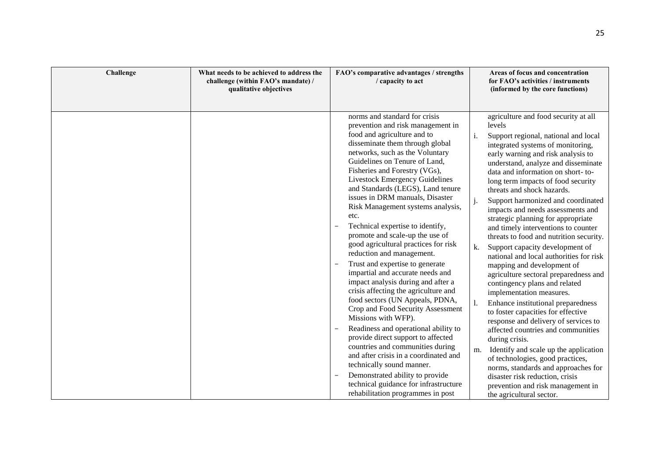| Challenge | What needs to be achieved to address the<br>challenge (within FAO's mandate) /<br>qualitative objectives | FAO's comparative advantages / strengths<br>/ capacity to act                                                                                                                                                                                                                                                                                                                                                                                                                                                                                                                                                                                                                                                                                                                                                                                                                                                                                                                                                                                                                                             | Areas of focus and concentration<br>for FAO's activities / instruments<br>(informed by the core functions)                                                                                                                                                                                                                                                                                                                                                                                                                                                                                                                                                                                                                                                                                                                                                                                                                                                                                                                                                                                                                                                   |
|-----------|----------------------------------------------------------------------------------------------------------|-----------------------------------------------------------------------------------------------------------------------------------------------------------------------------------------------------------------------------------------------------------------------------------------------------------------------------------------------------------------------------------------------------------------------------------------------------------------------------------------------------------------------------------------------------------------------------------------------------------------------------------------------------------------------------------------------------------------------------------------------------------------------------------------------------------------------------------------------------------------------------------------------------------------------------------------------------------------------------------------------------------------------------------------------------------------------------------------------------------|--------------------------------------------------------------------------------------------------------------------------------------------------------------------------------------------------------------------------------------------------------------------------------------------------------------------------------------------------------------------------------------------------------------------------------------------------------------------------------------------------------------------------------------------------------------------------------------------------------------------------------------------------------------------------------------------------------------------------------------------------------------------------------------------------------------------------------------------------------------------------------------------------------------------------------------------------------------------------------------------------------------------------------------------------------------------------------------------------------------------------------------------------------------|
|           |                                                                                                          | norms and standard for crisis<br>prevention and risk management in<br>food and agriculture and to<br>disseminate them through global<br>networks, such as the Voluntary<br>Guidelines on Tenure of Land,<br>Fisheries and Forestry (VGs),<br>Livestock Emergency Guidelines<br>and Standards (LEGS), Land tenure<br>issues in DRM manuals, Disaster<br>Risk Management systems analysis,<br>etc.<br>Technical expertise to identify,<br>promote and scale-up the use of<br>good agricultural practices for risk<br>reduction and management.<br>Trust and expertise to generate<br>impartial and accurate needs and<br>impact analysis during and after a<br>crisis affecting the agriculture and<br>food sectors (UN Appeals, PDNA,<br>Crop and Food Security Assessment<br>Missions with WFP).<br>Readiness and operational ability to<br>provide direct support to affected<br>countries and communities during<br>and after crisis in a coordinated and<br>technically sound manner.<br>Demonstrated ability to provide<br>technical guidance for infrastructure<br>rehabilitation programmes in post | agriculture and food security at all<br>levels<br>Support regional, national and local<br>i.<br>integrated systems of monitoring,<br>early warning and risk analysis to<br>understand, analyze and disseminate<br>data and information on short-to-<br>long term impacts of food security<br>threats and shock hazards.<br>Support harmonized and coordinated<br>impacts and needs assessments and<br>strategic planning for appropriate<br>and timely interventions to counter<br>threats to food and nutrition security.<br>Support capacity development of<br>k.<br>national and local authorities for risk<br>mapping and development of<br>agriculture sectoral preparedness and<br>contingency plans and related<br>implementation measures.<br>Enhance institutional preparedness<br>to foster capacities for effective<br>response and delivery of services to<br>affected countries and communities<br>during crisis.<br>Identify and scale up the application<br>m.<br>of technologies, good practices,<br>norms, standards and approaches for<br>disaster risk reduction, crisis<br>prevention and risk management in<br>the agricultural sector. |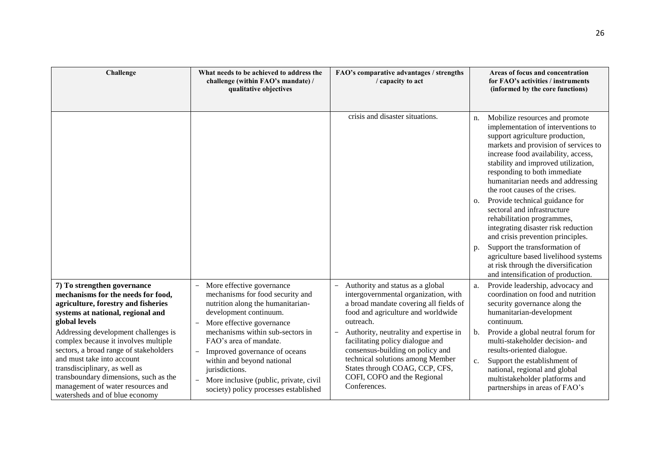| Challenge                                                                                                                                                                                                                                                                                             | What needs to be achieved to address the<br>challenge (within FAO's mandate) /<br>qualitative objectives                                                                                                                                                   | FAO's comparative advantages / strengths<br>/ capacity to act                                                                                                                                                                       | Areas of focus and concentration<br>for FAO's activities / instruments<br>(informed by the core functions)                                                                                                                                                                                                                                 |
|-------------------------------------------------------------------------------------------------------------------------------------------------------------------------------------------------------------------------------------------------------------------------------------------------------|------------------------------------------------------------------------------------------------------------------------------------------------------------------------------------------------------------------------------------------------------------|-------------------------------------------------------------------------------------------------------------------------------------------------------------------------------------------------------------------------------------|--------------------------------------------------------------------------------------------------------------------------------------------------------------------------------------------------------------------------------------------------------------------------------------------------------------------------------------------|
|                                                                                                                                                                                                                                                                                                       |                                                                                                                                                                                                                                                            | crisis and disaster situations.                                                                                                                                                                                                     | Mobilize resources and promote<br>n.<br>implementation of interventions to<br>support agriculture production,<br>markets and provision of services to<br>increase food availability, access,<br>stability and improved utilization,<br>responding to both immediate<br>humanitarian needs and addressing<br>the root causes of the crises. |
|                                                                                                                                                                                                                                                                                                       |                                                                                                                                                                                                                                                            |                                                                                                                                                                                                                                     | Provide technical guidance for<br>0.<br>sectoral and infrastructure<br>rehabilitation programmes,<br>integrating disaster risk reduction<br>and crisis prevention principles.                                                                                                                                                              |
|                                                                                                                                                                                                                                                                                                       |                                                                                                                                                                                                                                                            |                                                                                                                                                                                                                                     | Support the transformation of<br>p.<br>agriculture based livelihood systems<br>at risk through the diversification<br>and intensification of production.                                                                                                                                                                                   |
| 7) To strengthen governance<br>mechanisms for the needs for food,<br>agriculture, forestry and fisheries<br>systems at national, regional and<br>global levels                                                                                                                                        | More effective governance<br>$\overline{\phantom{a}}$<br>mechanisms for food security and<br>nutrition along the humanitarian-<br>development continuum.<br>More effective governance                                                                      | Authority and status as a global<br>$\overline{\phantom{0}}$<br>intergovernmental organization, with<br>a broad mandate covering all fields of<br>food and agriculture and worldwide<br>outreach.                                   | Provide leadership, advocacy and<br>a.<br>coordination on food and nutrition<br>security governance along the<br>humanitarian-development<br>continuum.                                                                                                                                                                                    |
| Addressing development challenges is<br>complex because it involves multiple<br>sectors, a broad range of stakeholders<br>and must take into account<br>transdisciplinary, as well as<br>transboundary dimensions, such as the<br>management of water resources and<br>watersheds and of blue economy | mechanisms within sub-sectors in<br>FAO's area of mandate.<br>Improved governance of oceans<br>within and beyond national<br>jurisdictions.<br>More inclusive (public, private, civil<br>$\overline{\phantom{a}}$<br>society) policy processes established | Authority, neutrality and expertise in<br>facilitating policy dialogue and<br>consensus-building on policy and<br>technical solutions among Member<br>States through COAG, CCP, CFS,<br>COFI, COFO and the Regional<br>Conferences. | Provide a global neutral forum for<br>b.<br>multi-stakeholder decision- and<br>results-oriented dialogue.<br>Support the establishment of<br>c.<br>national, regional and global<br>multistakeholder platforms and<br>partnerships in areas of FAO's                                                                                       |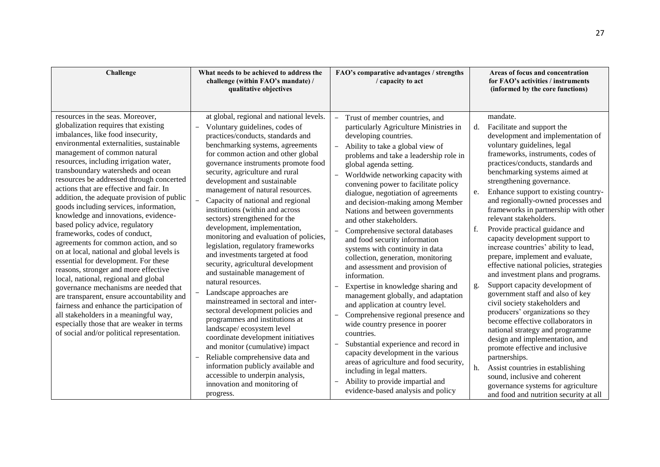| Challenge                                                                                                                                                                                                                                                                                                                                                                                                                                                                                                                                                                                                                                                                                                                                                                                                                                                                                                                                                                                                                                                  | What needs to be achieved to address the<br>challenge (within FAO's mandate) /<br>qualitative objectives                                                                                                                                                                                                                                                                                                                                                                                                                                                                                                                                                                                                                                                                                                                                                                                                                                                                                                                                                                                                                                                 | FAO's comparative advantages / strengths<br>/ capacity to act                                                                                                                                                                                                                                                                                                                                                                                                                                                                                                                                                                                                                                                                                                                                                                                                                                                                                                                                                                                                                                                                                                                                                                          | Areas of focus and concentration<br>for FAO's activities / instruments<br>(informed by the core functions)                                                                                                                                                                                                                                                                                                                                                                                                                                                                                                                                                                                                                                                                                                                                                                                                                                                                                                                                                                                                                         |
|------------------------------------------------------------------------------------------------------------------------------------------------------------------------------------------------------------------------------------------------------------------------------------------------------------------------------------------------------------------------------------------------------------------------------------------------------------------------------------------------------------------------------------------------------------------------------------------------------------------------------------------------------------------------------------------------------------------------------------------------------------------------------------------------------------------------------------------------------------------------------------------------------------------------------------------------------------------------------------------------------------------------------------------------------------|----------------------------------------------------------------------------------------------------------------------------------------------------------------------------------------------------------------------------------------------------------------------------------------------------------------------------------------------------------------------------------------------------------------------------------------------------------------------------------------------------------------------------------------------------------------------------------------------------------------------------------------------------------------------------------------------------------------------------------------------------------------------------------------------------------------------------------------------------------------------------------------------------------------------------------------------------------------------------------------------------------------------------------------------------------------------------------------------------------------------------------------------------------|----------------------------------------------------------------------------------------------------------------------------------------------------------------------------------------------------------------------------------------------------------------------------------------------------------------------------------------------------------------------------------------------------------------------------------------------------------------------------------------------------------------------------------------------------------------------------------------------------------------------------------------------------------------------------------------------------------------------------------------------------------------------------------------------------------------------------------------------------------------------------------------------------------------------------------------------------------------------------------------------------------------------------------------------------------------------------------------------------------------------------------------------------------------------------------------------------------------------------------------|------------------------------------------------------------------------------------------------------------------------------------------------------------------------------------------------------------------------------------------------------------------------------------------------------------------------------------------------------------------------------------------------------------------------------------------------------------------------------------------------------------------------------------------------------------------------------------------------------------------------------------------------------------------------------------------------------------------------------------------------------------------------------------------------------------------------------------------------------------------------------------------------------------------------------------------------------------------------------------------------------------------------------------------------------------------------------------------------------------------------------------|
| resources in the seas. Moreover,<br>globalization requires that existing<br>imbalances, like food insecurity,<br>environmental externalities, sustainable<br>management of common natural<br>resources, including irrigation water,<br>transboundary watersheds and ocean<br>resources be addressed through concerted<br>actions that are effective and fair. In<br>addition, the adequate provision of public<br>goods including services, information,<br>knowledge and innovations, evidence-<br>based policy advice, regulatory<br>frameworks, codes of conduct,<br>agreements for common action, and so<br>on at local, national and global levels is<br>essential for development. For these<br>reasons, stronger and more effective<br>local, national, regional and global<br>governance mechanisms are needed that<br>are transparent, ensure accountability and<br>fairness and enhance the participation of<br>all stakeholders in a meaningful way,<br>especially those that are weaker in terms<br>of social and/or political representation. | at global, regional and national levels.<br>Voluntary guidelines, codes of<br>practices/conducts, standards and<br>benchmarking systems, agreements<br>for common action and other global<br>governance instruments promote food<br>security, agriculture and rural<br>development and sustainable<br>management of natural resources.<br>Capacity of national and regional<br>$\overline{\phantom{0}}$<br>institutions (within and across<br>sectors) strengthened for the<br>development, implementation,<br>monitoring and evaluation of policies,<br>legislation, regulatory frameworks<br>and investments targeted at food<br>security, agricultural development<br>and sustainable management of<br>natural resources.<br>Landscape approaches are<br>mainstreamed in sectoral and inter-<br>sectoral development policies and<br>programmes and institutions at<br>landscape/ecosystem level<br>coordinate development initiatives<br>and monitor (cumulative) impact<br>Reliable comprehensive data and<br>$\overline{a}$<br>information publicly available and<br>accessible to underpin analysis,<br>innovation and monitoring of<br>progress. | Trust of member countries, and<br>$\overline{\phantom{m}}$<br>particularly Agriculture Ministries in<br>developing countries.<br>Ability to take a global view of<br>$\overline{\phantom{0}}$<br>problems and take a leadership role in<br>global agenda setting.<br>$\equiv$<br>Worldwide networking capacity with<br>convening power to facilitate policy<br>dialogue, negotiation of agreements<br>and decision-making among Member<br>Nations and between governments<br>and other stakeholders.<br>Comprehensive sectoral databases<br>$\overline{\phantom{a}}$<br>and food security information<br>systems with continuity in data<br>collection, generation, monitoring<br>and assessment and provision of<br>information.<br>Expertise in knowledge sharing and<br>management globally, and adaptation<br>and application at country level.<br>Comprehensive regional presence and<br>$\overline{\phantom{a}}$<br>wide country presence in poorer<br>countries.<br>Substantial experience and record in<br>$\overline{\phantom{m}}$<br>capacity development in the various<br>areas of agriculture and food security,<br>including in legal matters.<br>Ability to provide impartial and<br>evidence-based analysis and policy | mandate.<br>Facilitate and support the<br>d.<br>development and implementation of<br>voluntary guidelines, legal<br>frameworks, instruments, codes of<br>practices/conducts, standards and<br>benchmarking systems aimed at<br>strengthening governance.<br>Enhance support to existing country-<br>e.<br>and regionally-owned processes and<br>frameworks in partnership with other<br>relevant stakeholders.<br>f.<br>Provide practical guidance and<br>capacity development support to<br>increase countries' ability to lead,<br>prepare, implement and evaluate,<br>effective national policies, strategies<br>and investment plans and programs.<br>Support capacity development of<br>g.<br>government staff and also of key<br>civil society stakeholders and<br>producers' organizations so they<br>become effective collaborators in<br>national strategy and programme<br>design and implementation, and<br>promote effective and inclusive<br>partnerships.<br>Assist countries in establishing<br>h.<br>sound, inclusive and coherent<br>governance systems for agriculture<br>and food and nutrition security at all |